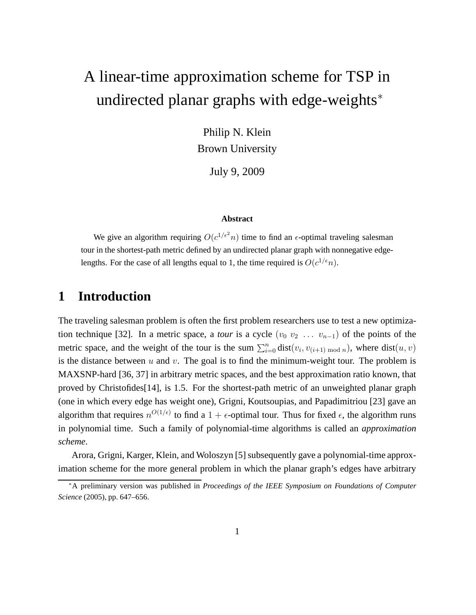# A linear-time approximation scheme for TSP in undirected planar graphs with edge-weights<sup>\*</sup>

Philip N. Klein Brown University

July 9, 2009

#### **Abstract**

We give an algorithm requiring  $O(c^{1/\epsilon^2}n)$  time to find an  $\epsilon$ -optimal traveling salesman tour in the shortest-path metric defined by an undirected planar graph with nonnegative edgelengths. For the case of all lengths equal to 1, the time required is  $O(c^{1/\epsilon}n)$ .

## **1 Introduction**

The traveling salesman problem is often the first problem researchers use to test a new optimization technique [32]. In a metric space, a *tour* is a cycle  $(v_0, v_2, \ldots, v_{n-1})$  of the points of the metric space, and the weight of the tour is the sum  $\sum_{i=0}^{n} dist(v_i, v_{(i+1) \mod n})$ , where  $dist(u, v)$ is the distance between  $u$  and  $v$ . The goal is to find the minimum-weight tour. The problem is MAXSNP-hard [36, 37] in arbitrary metric spaces, and the best approximation ratio known, that proved by Christofides[14], is 1.5. For the shortest-path metric of an unweighted planar graph (one in which every edge has weight one), Grigni, Koutsoupias, and Papadimitriou [23] gave an algorithm that requires  $n^{O(1/\epsilon)}$  to find a  $1+\epsilon$ -optimal tour. Thus for fixed  $\epsilon$ , the algorithm runs in polynomial time. Such a family of polynomial-time algorithms is called an *approximation scheme*.

Arora, Grigni, Karger, Klein, and Woloszyn [5] subsequently gave a polynomial-time approximation scheme for the more general problem in which the planar graph's edges have arbitrary

<sup>∗</sup>A preliminary version was published in *Proceedings of the IEEE Symposium on Foundations of Computer Science* (2005), pp. 647–656.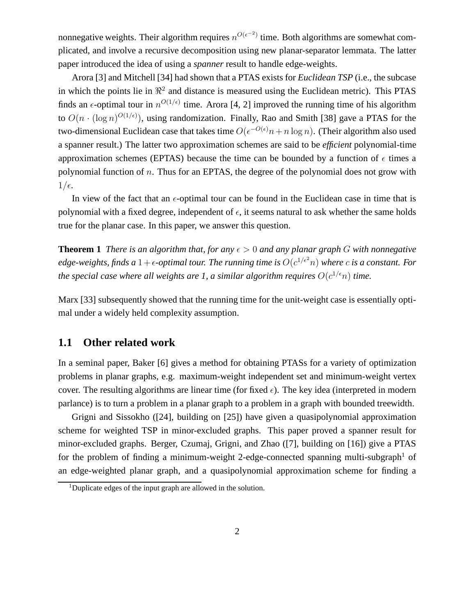nonnegative weights. Their algorithm requires  $n^{O(\epsilon^{-2})}$  time. Both algorithms are somewhat complicated, and involve a recursive decomposition using new planar-separator lemmata. The latter paper introduced the idea of using a *spanner* result to handle edge-weights.

Arora [3] and Mitchell [34] had shown that a PTAS exists for *Euclidean TSP* (i.e., the subcase in which the points lie in  $\mathbb{R}^2$  and distance is measured using the Euclidean metric). This PTAS finds an  $\epsilon$ -optimal tour in  $n^{O(1/\epsilon)}$  time. Arora [4, 2] improved the running time of his algorithm to  $O(n \cdot (\log n)^{O(1/\epsilon)})$ , using randomization. Finally, Rao and Smith [38] gave a PTAS for the two-dimensional Euclidean case that takes time  $O(\epsilon^{-O(\epsilon)}n+n\log n)$ . (Their algorithm also used a spanner result.) The latter two approximation schemes are said to be *efficient* polynomial-time approximation schemes (EPTAS) because the time can be bounded by a function of  $\epsilon$  times a polynomial function of  $n$ . Thus for an EPTAS, the degree of the polynomial does not grow with  $1/\epsilon$ .

In view of the fact that an  $\epsilon$ -optimal tour can be found in the Euclidean case in time that is polynomial with a fixed degree, independent of  $\epsilon$ , it seems natural to ask whether the same holds true for the planar case. In this paper, we answer this question.

**Theorem 1** *There is an algorithm that, for any*  $\epsilon > 0$  *and any planar graph* G *with nonnegative* edge-weights, finds a  $1+\epsilon$ -optimal tour. The running time is  $O(c^{1/\epsilon^2}n)$  where  $c$  is a constant. For *the special case where all weights are 1, a similar algorithm requires*  $O(c^{1/\epsilon}n)$  *time.* 

Marx [33] subsequently showed that the running time for the unit-weight case is essentially optimal under a widely held complexity assumption.

### **1.1 Other related work**

In a seminal paper, Baker [6] gives a method for obtaining PTASs for a variety of optimization problems in planar graphs, e.g. maximum-weight independent set and minimum-weight vertex cover. The resulting algorithms are linear time (for fixed  $\epsilon$ ). The key idea (interpreted in modern parlance) is to turn a problem in a planar graph to a problem in a graph with bounded treewidth.

Grigni and Sissokho ([24], building on [25]) have given a quasipolynomial approximation scheme for weighted TSP in minor-excluded graphs. This paper proved a spanner result for minor-excluded graphs. Berger, Czumaj, Grigni, and Zhao ([7], building on [16]) give a PTAS for the problem of finding a minimum-weight 2-edge-connected spanning multi-subgraph<sup>1</sup> of an edge-weighted planar graph, and a quasipolynomial approximation scheme for finding a

<sup>&</sup>lt;sup>1</sup>Duplicate edges of the input graph are allowed in the solution.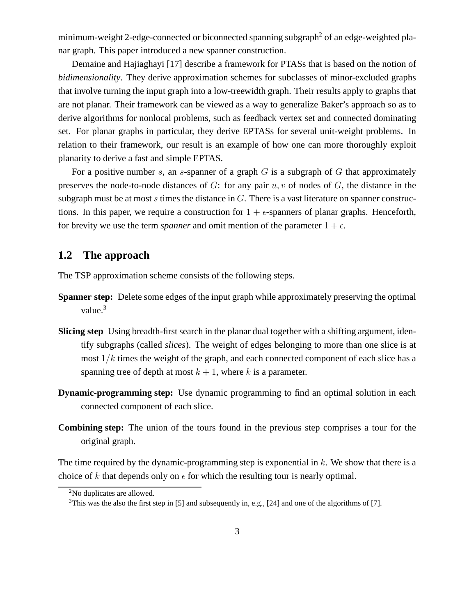minimum-weight 2-edge-connected or biconnected spanning subgraph<sup>2</sup> of an edge-weighted planar graph. This paper introduced a new spanner construction.

Demaine and Hajiaghayi [17] describe a framework for PTASs that is based on the notion of *bidimensionality*. They derive approximation schemes for subclasses of minor-excluded graphs that involve turning the input graph into a low-treewidth graph. Their results apply to graphs that are not planar. Their framework can be viewed as a way to generalize Baker's approach so as to derive algorithms for nonlocal problems, such as feedback vertex set and connected dominating set. For planar graphs in particular, they derive EPTASs for several unit-weight problems. In relation to their framework, our result is an example of how one can more thoroughly exploit planarity to derive a fast and simple EPTAS.

For a positive number s, an s-spanner of a graph  $G$  is a subgraph of  $G$  that approximately preserves the node-to-node distances of  $G$ : for any pair  $u, v$  of nodes of  $G$ , the distance in the subgraph must be at most s times the distance in  $G$ . There is a vast literature on spanner constructions. In this paper, we require a construction for  $1 + \epsilon$ -spanners of planar graphs. Henceforth, for brevity we use the term *spanner* and omit mention of the parameter  $1 + \epsilon$ .

### **1.2 The approach**

The TSP approximation scheme consists of the following steps.

- **Spanner step:** Delete some edges of the input graph while approximately preserving the optimal value. $3$
- **Slicing step** Using breadth-first search in the planar dual together with a shifting argument, identify subgraphs (called *slices*). The weight of edges belonging to more than one slice is at most  $1/k$  times the weight of the graph, and each connected component of each slice has a spanning tree of depth at most  $k + 1$ , where k is a parameter.
- **Dynamic-programming step:** Use dynamic programming to find an optimal solution in each connected component of each slice.
- **Combining step:** The union of the tours found in the previous step comprises a tour for the original graph.

The time required by the dynamic-programming step is exponential in  $k$ . We show that there is a choice of k that depends only on  $\epsilon$  for which the resulting tour is nearly optimal.

<sup>2</sup>No duplicates are allowed.

 $3$ This was the also the first step in [5] and subsequently in, e.g., [24] and one of the algorithms of [7].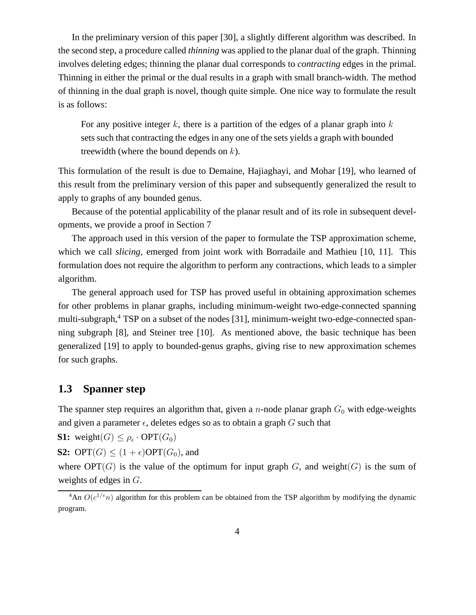In the preliminary version of this paper [30], a slightly different algorithm was described. In the second step, a procedure called *thinning* was applied to the planar dual of the graph. Thinning involves deleting edges; thinning the planar dual corresponds to *contracting* edges in the primal. Thinning in either the primal or the dual results in a graph with small branch-width. The method of thinning in the dual graph is novel, though quite simple. One nice way to formulate the result is as follows:

For any positive integer k, there is a partition of the edges of a planar graph into  $k$ sets such that contracting the edges in any one of the sets yields a graph with bounded treewidth (where the bound depends on  $k$ ).

This formulation of the result is due to Demaine, Hajiaghayi, and Mohar [19], who learned of this result from the preliminary version of this paper and subsequently generalized the result to apply to graphs of any bounded genus.

Because of the potential applicability of the planar result and of its role in subsequent developments, we provide a proof in Section 7

The approach used in this version of the paper to formulate the TSP approximation scheme, which we call *slicing*, emerged from joint work with Borradaile and Mathieu [10, 11]. This formulation does not require the algorithm to perform any contractions, which leads to a simpler algorithm.

The general approach used for TSP has proved useful in obtaining approximation schemes for other problems in planar graphs, including minimum-weight two-edge-connected spanning multi-subgraph,<sup>4</sup> TSP on a subset of the nodes [31], minimum-weight two-edge-connected spanning subgraph [8], and Steiner tree [10]. As mentioned above, the basic technique has been generalized [19] to apply to bounded-genus graphs, giving rise to new approximation schemes for such graphs.

### **1.3 Spanner step**

The spanner step requires an algorithm that, given a *n*-node planar graph  $G_0$  with edge-weights and given a parameter  $\epsilon$ , deletes edges so as to obtain a graph G such that

**S1:** weight $(G) \leq \rho_{\epsilon} \cdot \text{OPT}(G_0)$ 

**S2:** OPT $(G) \leq (1 + \epsilon)$ OPT $(G_0)$ , and

where  $OPT(G)$  is the value of the optimum for input graph G, and weight(G) is the sum of weights of edges in G.

<sup>&</sup>lt;sup>4</sup>An  $O(c^{1/\epsilon}n)$  algorithm for this problem can be obtained from the TSP algorithm by modifying the dynamic program.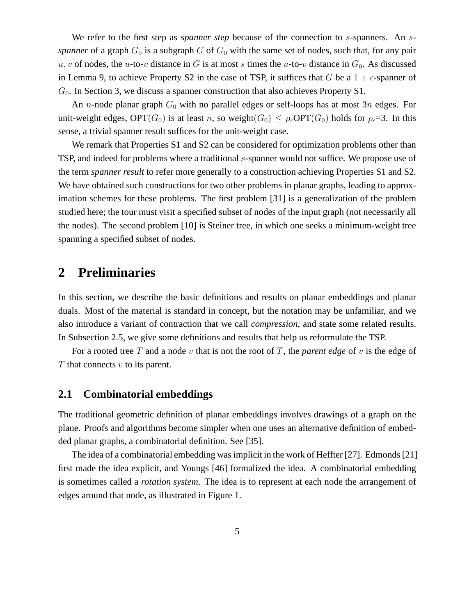We refer to the first step as *spanner step* because of the connection to s-spanners. An s*spanner* of a graph  $G_0$  is a subgraph G of  $G_0$  with the same set of nodes, such that, for any pair u, v of nodes, the u-to-v distance in G is at most s times the u-to-v distance in  $G_0$ . As discussed in Lemma 9, to achieve Property S2 in the case of TSP, it suffices that G be a  $1 + \epsilon$ -spanner of  $G_0$ . In Section 3, we discuss a spanner construction that also achieves Property S1.

An *n*-node planar graph  $G_0$  with no parallel edges or self-loops has at most 3*n* edges. For unit-weight edges,  $\text{OPT}(G_0)$  is at least n, so weight $(G_0) \leq \rho_\epsilon \text{OPT}(G_0)$  holds for  $\rho_\epsilon = 3$ . In this sense, a trivial spanner result suffices for the unit-weight case.

We remark that Properties S1 and S2 can be considered for optimization problems other than TSP, and indeed for problems where a traditional s-spanner would not suffice. We propose use of the term *spanner result* to refer more generally to a construction achieving Properties S1 and S2. We have obtained such constructions for two other problems in planar graphs, leading to approximation schemes for these problems. The first problem [31] is a generalization of the problem studied here; the tour must visit a specified subset of nodes of the input graph (not necessarily all the nodes). The second problem [10] is Steiner tree, in which one seeks a minimum-weight tree spanning a specified subset of nodes.

## **2 Preliminaries**

In this section, we describe the basic definitions and results on planar embeddings and planar duals. Most of the material is standard in concept, but the notation may be unfamiliar, and we also introduce a variant of contraction that we call *compression*, and state some related results. In Subsection 2.5, we give some definitions and results that help us reformulate the TSP.

For a rooted tree T and a node v that is not the root of T, the *parent edge* of v is the edge of  $T$  that connects  $v$  to its parent.

### **2.1 Combinatorial embeddings**

The traditional geometric definition of planar embeddings involves drawings of a graph on the plane. Proofs and algorithms become simpler when one uses an alternative definition of embedded planar graphs, a combinatorial definition. See [35].

The idea of a combinatorial embedding was implicit in the work of Heffter [27]. Edmonds [21] first made the idea explicit, and Youngs [46] formalized the idea. A combinatorial embedding is sometimes called a *rotation system*. The idea is to represent at each node the arrangement of edges around that node, as illustrated in Figure 1.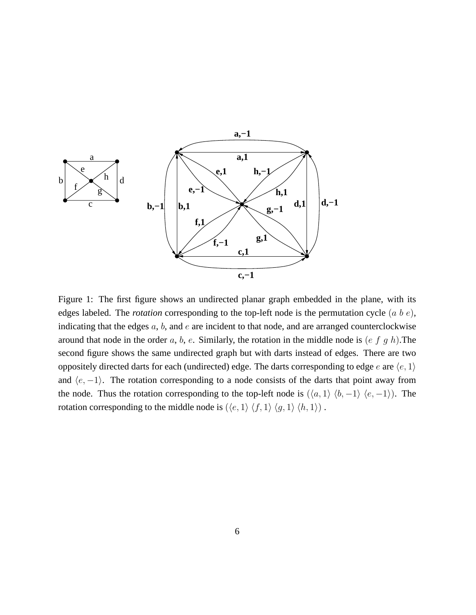

Figure 1: The first figure shows an undirected planar graph embedded in the plane, with its edges labeled. The *rotation* corresponding to the top-left node is the permutation cycle (a b e), indicating that the edges  $a, b$ , and  $e$  are incident to that node, and are arranged counterclockwise around that node in the order  $a, b, e$ . Similarly, the rotation in the middle node is  $(e f g h)$ . The second figure shows the same undirected graph but with darts instead of edges. There are two oppositely directed darts for each (undirected) edge. The darts corresponding to edge e are  $\langle e, 1 \rangle$ and  $\langle e, -1 \rangle$ . The rotation corresponding to a node consists of the darts that point away from the node. Thus the rotation corresponding to the top-left node is  $(\langle a, 1 \rangle \langle b, -1 \rangle \langle e, -1 \rangle)$ . The rotation corresponding to the middle node is  $(\langle e, 1 \rangle \langle f, 1 \rangle \langle g, 1 \rangle \langle h, 1 \rangle)$ .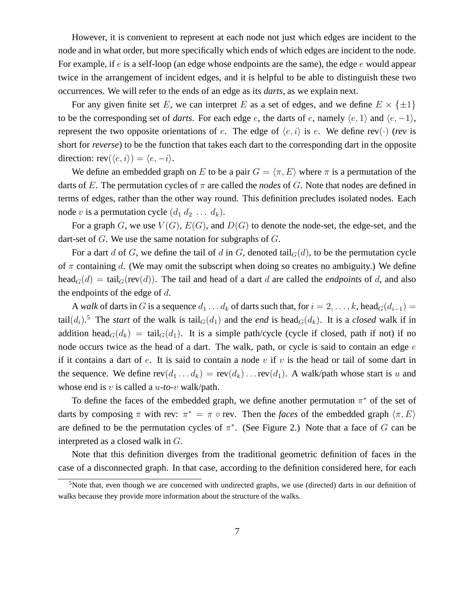However, it is convenient to represent at each node not just which edges are incident to the node and in what order, but more specifically which ends of which edges are incident to the node. For example, if  $e$  is a self-loop (an edge whose endpoints are the same), the edge  $e$  would appear twice in the arrangement of incident edges, and it is helpful to be able to distinguish these two occurrences. We will refer to the ends of an edge as its *darts*, as we explain next.

For any given finite set E, we can interpret E as a set of edges, and we define  $E \times \{\pm 1\}$ to be the corresponding set of *darts*. For each edge e, the darts of e, namely  $\langle e, 1 \rangle$  and  $\langle e, -1 \rangle$ , represent the two opposite orientations of e. The edge of  $\langle e, i \rangle$  is e. We define rev( $\cdot$ ) (*rev* is short for *reverse*) to be the function that takes each dart to the corresponding dart in the opposite direction:  $rev(\langle e, i \rangle) = \langle e, -i \rangle$ .

We define an embedded graph on E to be a pair  $G = \langle \pi, E \rangle$  where  $\pi$  is a permutation of the darts of E. The permutation cycles of  $\pi$  are called the *nodes* of G. Note that nodes are defined in terms of edges, rather than the other way round. This definition precludes isolated nodes. Each node v is a permutation cycle  $(d_1 d_2 \ldots d_k)$ .

For a graph G, we use  $V(G)$ ,  $E(G)$ , and  $D(G)$  to denote the node-set, the edge-set, and the dart-set of  $G$ . We use the same notation for subgraphs of  $G$ .

For a dart d of G, we define the tail of d in G, denoted tail $_G(d)$ , to be the permutation cycle of  $\pi$  containing d. (We may omit the subscript when doing so creates no ambiguity.) We define head<sub>G</sub>(d) = tail<sub>G</sub>(rev(d)). The tail and head of a dart d are called the *endpoints* of d, and also the endpoints of the edge of  $d$ .

A *walk* of darts in G is a sequence  $d_1 \ldots d_k$  of darts such that, for  $i = 2, \ldots, k$ , head $G(d_{i-1}) =$ tail $(d_i)$ .<sup>5</sup> The *start* of the walk is tail<sub>G</sub>( $d_1$ ) and the *end* is head<sub>G</sub>( $d_k$ ). It is a *closed* walk if in addition head<sub>G</sub>( $d_k$ ) = tail<sub>G</sub>( $d_1$ ). It is a simple path/cycle (cycle if closed, path if not) if no node occurs twice as the head of a dart. The walk, path, or cycle is said to contain an edge  $e$ if it contains a dart of  $e$ . It is said to contain a node  $v$  if  $v$  is the head or tail of some dart in the sequence. We define  $rev(d_1 \ldots d_k) = rev(d_k) \ldots rev(d_1)$ . A walk/path whose start is u and whose end is v is called a u*-to-*v walk/path.

To define the faces of the embedded graph, we define another permutation  $\pi^*$  of the set of darts by composing  $\pi$  with rev:  $\pi^* = \pi \circ \text{rev}$ . Then the *faces* of the embedded graph  $\langle \pi, E \rangle$ are defined to be the permutation cycles of  $\pi^*$ . (See Figure 2.) Note that a face of G can be interpreted as a closed walk in G.

Note that this definition diverges from the traditional geometric definition of faces in the case of a disconnected graph. In that case, according to the definition considered here, for each

<sup>&</sup>lt;sup>5</sup>Note that, even though we are concerned with undirected graphs, we use (directed) darts in our definition of walks because they provide more information about the structure of the walks.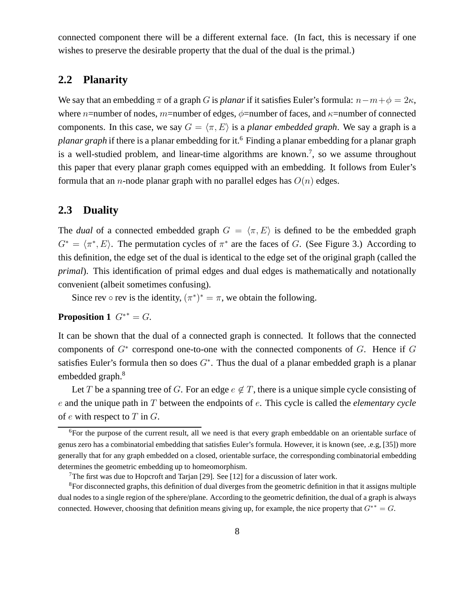connected component there will be a different external face. (In fact, this is necessary if one wishes to preserve the desirable property that the dual of the dual is the primal.)

### **2.2 Planarity**

We say that an embedding  $\pi$  of a graph G is *planar* if it satisfies Euler's formula:  $n - m + \phi = 2\kappa$ , where n=number of nodes, m=number of edges,  $\phi$ =number of faces, and  $\kappa$ =number of connected components. In this case, we say  $G = \langle \pi, E \rangle$  is a *planar embedded graph*. We say a graph is a *planar graph* if there is a planar embedding for it.<sup>6</sup> Finding a planar embedding for a planar graph is a well-studied problem, and linear-time algorithms are known.<sup>7</sup>, so we assume throughout this paper that every planar graph comes equipped with an embedding. It follows from Euler's formula that an *n*-node planar graph with no parallel edges has  $O(n)$  edges.

### **2.3 Duality**

The *dual* of a connected embedded graph  $G = \langle \pi, E \rangle$  is defined to be the embedded graph  $G^* = \langle \pi^*, E \rangle$ . The permutation cycles of  $\pi^*$  are the faces of G. (See Figure 3.) According to this definition, the edge set of the dual is identical to the edge set of the original graph (called the *primal*). This identification of primal edges and dual edges is mathematically and notationally convenient (albeit sometimes confusing).

Since rev  $\circ$  rev is the identity,  $(\pi^*)^* = \pi$ , we obtain the following.

### **Proposition 1**  $G^*$  =  $G$ .

It can be shown that the dual of a connected graph is connected. It follows that the connected components of  $G^*$  correspond one-to-one with the connected components of  $G$ . Hence if  $G$ satisfies Euler's formula then so does  $G^*$ . Thus the dual of a planar embedded graph is a planar embedded graph.<sup>8</sup>

Let T be a spanning tree of G. For an edge  $e \notin T$ , there is a unique simple cycle consisting of e and the unique path in T between the endpoints of e. This cycle is called the *elementary cycle* of  $e$  with respect to  $T$  in  $G$ .

<sup>&</sup>lt;sup>6</sup>For the purpose of the current result, all we need is that every graph embeddable on an orientable surface of genus zero has a combinatorial embedding that satisfies Euler's formula. However, it is known (see, .e.g, [35]) more generally that for any graph embedded on a closed, orientable surface, the corresponding combinatorial embedding determines the geometric embedding up to homeomorphism.

<sup>&</sup>lt;sup>7</sup>The first was due to Hopcroft and Tarjan [29]. See [12] for a discussion of later work.

<sup>8</sup>For disconnected graphs, this definition of dual diverges from the geometric definition in that it assigns multiple dual nodes to a single region of the sphere/plane. According to the geometric definition, the dual of a graph is always connected. However, choosing that definition means giving up, for example, the nice property that  $G^{**} = G$ .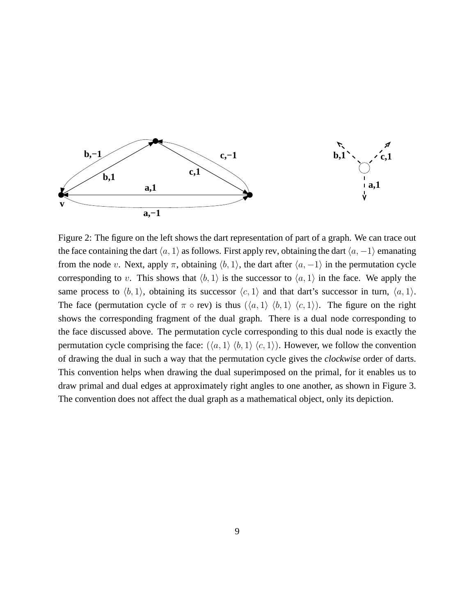

Figure 2: The figure on the left shows the dart representation of part of a graph. We can trace out the face containing the dart  $\langle a, 1 \rangle$  as follows. First apply rev, obtaining the dart  $\langle a, -1 \rangle$  emanating from the node v. Next, apply  $\pi$ , obtaining  $\langle b, 1 \rangle$ , the dart after  $\langle a, -1 \rangle$  in the permutation cycle corresponding to v. This shows that  $\langle b, 1 \rangle$  is the successor to  $\langle a, 1 \rangle$  in the face. We apply the same process to  $\langle b, 1 \rangle$ , obtaining its successor  $\langle c, 1 \rangle$  and that dart's successor in turn,  $\langle a, 1 \rangle$ . The face (permutation cycle of  $\pi \circ \text{rev}$ ) is thus  $(\langle a, 1 \rangle \langle b, 1 \rangle \langle c, 1 \rangle)$ . The figure on the right shows the corresponding fragment of the dual graph. There is a dual node corresponding to the face discussed above. The permutation cycle corresponding to this dual node is exactly the permutation cycle comprising the face:  $(\langle a, 1 \rangle \langle b, 1 \rangle \langle c, 1 \rangle)$ . However, we follow the convention of drawing the dual in such a way that the permutation cycle gives the *clockwise* order of darts. This convention helps when drawing the dual superimposed on the primal, for it enables us to draw primal and dual edges at approximately right angles to one another, as shown in Figure 3. The convention does not affect the dual graph as a mathematical object, only its depiction.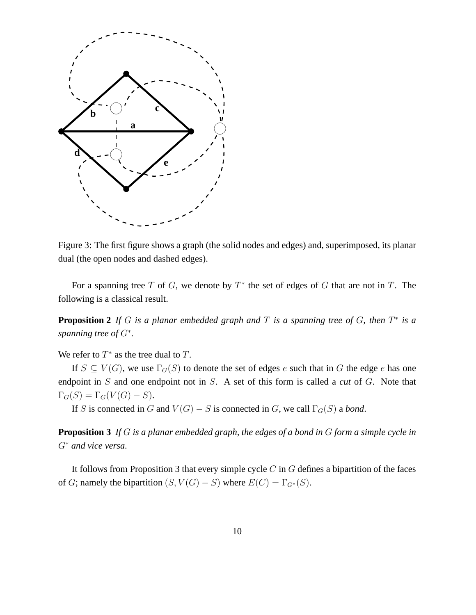

Figure 3: The first figure shows a graph (the solid nodes and edges) and, superimposed, its planar dual (the open nodes and dashed edges).

For a spanning tree T of G, we denote by  $T^*$  the set of edges of G that are not in T. The following is a classical result.

**Proposition 2** If G is a planar embedded graph and T is a spanning tree of G, then  $T^*$  is a *spanning tree of* G<sup>∗</sup> *.*

We refer to  $T^*$  as the tree dual to  $T$ .

If  $S \subseteq V(G)$ , we use  $\Gamma_G(S)$  to denote the set of edges e such that in G the edge e has one endpoint in S and one endpoint not in S. A set of this form is called a *cut* of G. Note that  $\Gamma_G(S) = \Gamma_G(V(G) - S).$ 

If S is connected in G and  $V(G) - S$  is connected in G, we call  $\Gamma_G(S)$  a *bond*.

**Proposition 3** *If* G *is a planar embedded graph, the edges of a bond in* G *form a simple cycle in* G<sup>∗</sup> *and vice versa.*

It follows from Proposition 3 that every simple cycle  $C$  in  $G$  defines a bipartition of the faces of G; namely the bipartition  $(S, V(G) - S)$  where  $E(C) = \Gamma_{G^*}(S)$ .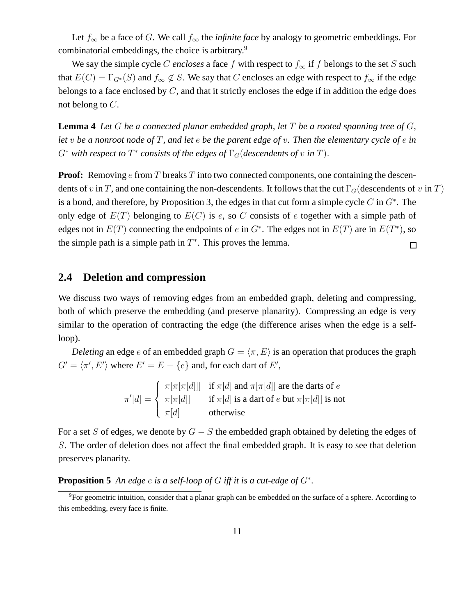Let  $f_{\infty}$  be a face of G. We call  $f_{\infty}$  the *infinite face* by analogy to geometric embeddings. For combinatorial embeddings, the choice is arbitrary.<sup>9</sup>

We say the simple cycle C *encloses* a face f with respect to  $f_{\infty}$  if f belongs to the set S such that  $E(C) = \Gamma_{G^*}(S)$  and  $f_{\infty} \notin S$ . We say that C encloses an edge with respect to  $f_{\infty}$  if the edge belongs to a face enclosed by  $C$ , and that it strictly encloses the edge if in addition the edge does not belong to C.

**Lemma 4** *Let* G *be a connected planar embedded graph, let* T *be a rooted spanning tree of* G*, let* v *be a nonroot node of* T*, and let* e *be the parent edge of* v*. Then the elementary cycle of* e *in*  $G^*$  with respect to  $T^*$  consists of the edges of  $\Gamma_G$  (descendents of v in T).

**Proof:** Removing e from T breaks T into two connected components, one containing the descendents of v in T, and one containing the non-descendents. It follows that the cut  $\Gamma_G$  (descendents of v in T) is a bond, and therefore, by Proposition 3, the edges in that cut form a simple cycle  $C$  in  $G^*$ . The only edge of  $E(T)$  belonging to  $E(C)$  is e, so C consists of e together with a simple path of edges not in  $E(T)$  connecting the endpoints of e in  $G^*$ . The edges not in  $E(T)$  are in  $E(T^*)$ , so the simple path is a simple path in  $T^*$ . This proves the lemma.  $\Box$ 

### **2.4 Deletion and compression**

We discuss two ways of removing edges from an embedded graph, deleting and compressing, both of which preserve the embedding (and preserve planarity). Compressing an edge is very similar to the operation of contracting the edge (the difference arises when the edge is a selfloop).

*Deleting* an edge e of an embedded graph  $G = \langle \pi, E \rangle$  is an operation that produces the graph  $G' = \langle \pi', E' \rangle$  where  $E' = E - \{e\}$  and, for each dart of E',

$$
\pi'[d] = \begin{cases}\n\pi[\pi[\pi[d]]] & \text{if } \pi[d] \text{ and } \pi[\pi[d]] \text{ are the darts of } e \\
\pi[\pi[d]] & \text{if } \pi[d] \text{ is a dart of } e \text{ but } \pi[\pi[d]] \text{ is not} \\
\pi[d] & \text{otherwise}\n\end{cases}
$$

For a set S of edges, we denote by  $G - S$  the embedded graph obtained by deleting the edges of S. The order of deletion does not affect the final embedded graph. It is easy to see that deletion preserves planarity.

**Proposition 5** *An edge* e *is a self-loop of* G *iff it is a cut-edge of* G<sup>∗</sup> *.*

<sup>&</sup>lt;sup>9</sup>For geometric intuition, consider that a planar graph can be embedded on the surface of a sphere. According to this embedding, every face is finite.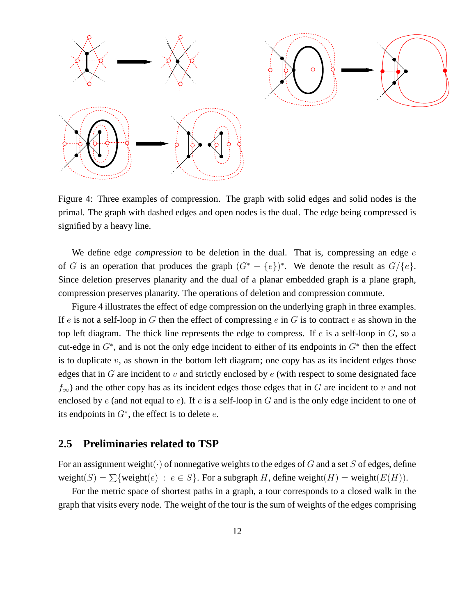

Figure 4: Three examples of compression. The graph with solid edges and solid nodes is the primal. The graph with dashed edges and open nodes is the dual. The edge being compressed is signified by a heavy line.

We define edge *compression* to be deletion in the dual. That is, compressing an edge e of G is an operation that produces the graph  $(G^* - \{e\})^*$ . We denote the result as  $G/\{e\}$ . Since deletion preserves planarity and the dual of a planar embedded graph is a plane graph, compression preserves planarity. The operations of deletion and compression commute.

Figure 4 illustrates the effect of edge compression on the underlying graph in three examples. If e is not a self-loop in G then the effect of compressing  $e$  in G is to contract  $e$  as shown in the top left diagram. The thick line represents the edge to compress. If  $e$  is a self-loop in  $G$ , so a cut-edge in  $G^*$ , and is not the only edge incident to either of its endpoints in  $G^*$  then the effect is to duplicate  $v$ , as shown in the bottom left diagram; one copy has as its incident edges those edges that in  $G$  are incident to  $v$  and strictly enclosed by  $e$  (with respect to some designated face  $f_{\infty}$ ) and the other copy has as its incident edges those edges that in G are incident to v and not enclosed by  $e$  (and not equal to  $e$ ). If  $e$  is a self-loop in  $G$  and is the only edge incident to one of its endpoints in  $G^*$ , the effect is to delete  $e$ .

### **2.5 Preliminaries related to TSP**

For an assignment weight( $\cdot$ ) of nonnegative weights to the edges of G and a set S of edges, define weight(S) =  $\sum$ {weight(e) :  $e \in S$ }. For a subgraph H, define weight(H) = weight(E(H)).

For the metric space of shortest paths in a graph, a tour corresponds to a closed walk in the graph that visits every node. The weight of the tour is the sum of weights of the edges comprising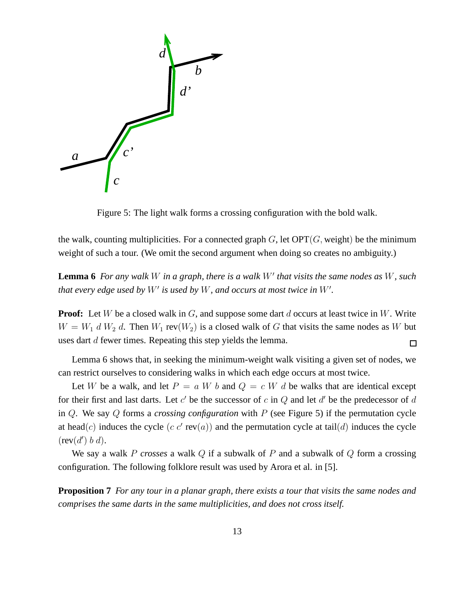

Figure 5: The light walk forms a crossing configuration with the bold walk.

the walk, counting multiplicities. For a connected graph  $G$ , let  $\text{OPT}(G)$ , weight) be the minimum weight of such a tour. (We omit the second argument when doing so creates no ambiguity.)

**Lemma 6** *For any walk* W *in a graph, there is a walk* W′ *that visits the same nodes as* W*, such that every edge used by* W′ *is used by* W*, and occurs at most twice in* W′ *.*

**Proof:** Let W be a closed walk in G, and suppose some dart d occurs at least twice in W. Write  $W = W_1 d W_2 d$ . Then  $W_1 \text{rev}(W_2)$  is a closed walk of G that visits the same nodes as W but uses dart d fewer times. Repeating this step yields the lemma.  $\Box$ 

Lemma 6 shows that, in seeking the minimum-weight walk visiting a given set of nodes, we can restrict ourselves to considering walks in which each edge occurs at most twice.

Let W be a walk, and let  $P = a W b$  and  $Q = c W d$  be walks that are identical except for their first and last darts. Let  $c'$  be the successor of c in  $Q$  and let  $d'$  be the predecessor of  $d$ in Q. We say Q forms a *crossing configuration* with P (see Figure 5) if the permutation cycle at head(c) induces the cycle  $(c c' \text{rev}(a))$  and the permutation cycle at tail(d) induces the cycle  $(rev(d') b d).$ 

We say a walk P *crosses* a walk Q if a subwalk of P and a subwalk of Q form a crossing configuration. The following folklore result was used by Arora et al. in [5].

**Proposition 7** *For any tour in a planar graph, there exists a tour that visits the same nodes and comprises the same darts in the same multiplicities, and does not cross itself.*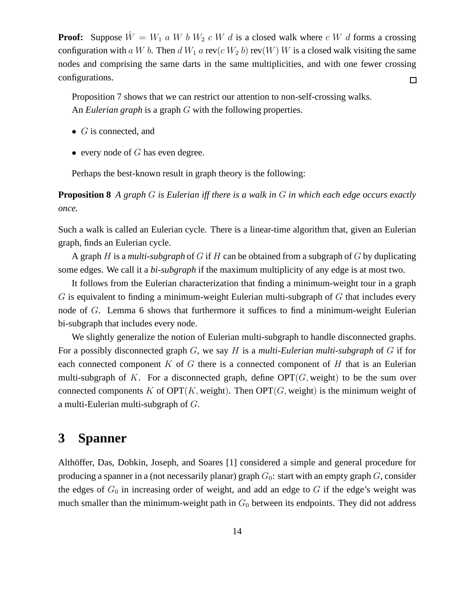**Proof:** Suppose  $\hat{W} = W_1$  a W b  $W_2$  c W d is a closed walk where c W d forms a crossing configuration with a W b. Then d  $W_1$  a rev(c  $W_2$  b) rev(W) W is a closed walk visiting the same nodes and comprising the same darts in the same multiplicities, and with one fewer crossing configurations.  $\Box$ 

Proposition 7 shows that we can restrict our attention to non-self-crossing walks. An *Eulerian graph* is a graph G with the following properties.

- $\bullet$  *G* is connected, and
- every node of  $G$  has even degree.

Perhaps the best-known result in graph theory is the following:

**Proposition 8** *A graph* G *is Eulerian iff there is a walk in* G *in which each edge occurs exactly once.*

Such a walk is called an Eulerian cycle. There is a linear-time algorithm that, given an Eulerian graph, finds an Eulerian cycle.

A graph H is a *multi-subgraph* of G if H can be obtained from a subgraph of G by duplicating some edges. We call it a *bi-subgraph* if the maximum multiplicity of any edge is at most two.

It follows from the Eulerian characterization that finding a minimum-weight tour in a graph  $G$  is equivalent to finding a minimum-weight Eulerian multi-subgraph of  $G$  that includes every node of G. Lemma 6 shows that furthermore it suffices to find a minimum-weight Eulerian bi-subgraph that includes every node.

We slightly generalize the notion of Eulerian multi-subgraph to handle disconnected graphs. For a possibly disconnected graph G, we say H is a *multi-Eulerian multi-subgraph* of G if for each connected component  $K$  of  $G$  there is a connected component of  $H$  that is an Eulerian multi-subgraph of K. For a disconnected graph, define  $\text{OPT}(G)$ , weight) to be the sum over connected components K of OPT(K, weight). Then OPT(G, weight) is the minimum weight of a multi-Eulerian multi-subgraph of G.

## **3 Spanner**

Althöffer, Das, Dobkin, Joseph, and Soares [1] considered a simple and general procedure for producing a spanner in a (not necessarily planar) graph  $G_0$ : start with an empty graph  $G$ , consider the edges of  $G_0$  in increasing order of weight, and add an edge to G if the edge's weight was much smaller than the minimum-weight path in  $G_0$  between its endpoints. They did not address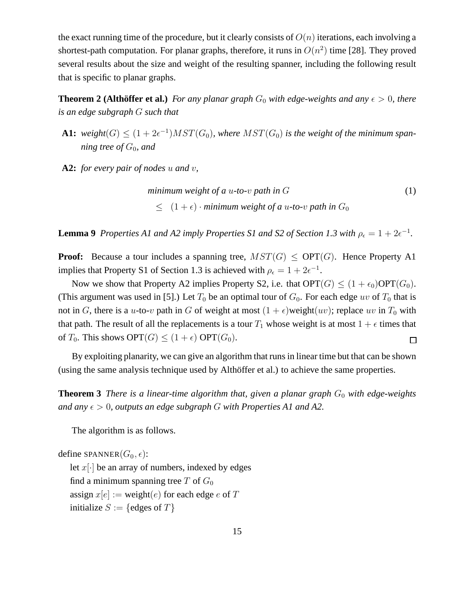the exact running time of the procedure, but it clearly consists of  $O(n)$  iterations, each involving a shortest-path computation. For planar graphs, therefore, it runs in  $O(n^2)$  time [28]. They proved several results about the size and weight of the resulting spanner, including the following result that is specific to planar graphs.

**Theorem 2 (Althöffer et al.)** For any planar graph  $G_0$  with edge-weights and any  $\epsilon > 0$ , there *is an edge subgraph* G *such that*

**A1:** weight $(G) \leq (1 + 2\epsilon^{-1})MST(G_0)$ , where  $MST(G_0)$  is the weight of the minimum span*ning tree of*  $G_0$ *, and* 

**A2:** *for every pair of nodes* u *and* v*,*

minimum weight of a u-to-v path in 
$$
G
$$

\n
$$
\leq (1 + \epsilon) \cdot \text{minimum weight of a u-to-v path in } G_0
$$
\n(1)

**Lemma 9** Properties A1 and A2 imply Properties S1 and S2 of Section 1.3 with  $\rho_{\epsilon} = 1 + 2\epsilon^{-1}$ .

**Proof:** Because a tour includes a spanning tree,  $MST(G) \leq OPT(G)$ . Hence Property A1 implies that Property S1 of Section 1.3 is achieved with  $\rho_{\epsilon} = 1 + 2\epsilon^{-1}$ .

Now we show that Property A2 implies Property S2, i.e. that  $\text{OPT}(G) \leq (1 + \epsilon_0) \text{OPT}(G_0)$ . (This argument was used in [5].) Let  $T_0$  be an optimal tour of  $G_0$ . For each edge uv of  $T_0$  that is not in G, there is a u-to-v path in G of weight at most  $(1 + \epsilon)$ weight $(uv)$ ; replace uv in  $T_0$  with that path. The result of all the replacements is a tour  $T_1$  whose weight is at most  $1 + \epsilon$  times that of  $T_0$ . This shows  $\text{OPT}(G) \leq (1+\epsilon) \text{ OPT}(G_0)$ . 囗

By exploiting planarity, we can give an algorithm that runs in linear time but that can be shown (using the same analysis technique used by Althöffer et al.) to achieve the same properties.

**Theorem 3** *There is a linear-time algorithm that, given a planar graph*  $G_0$  *with edge-weights and any*  $\epsilon > 0$ , *outputs an edge subgraph* G *with Properties A1 and A2.* 

The algorithm is as follows.

```
define SPANNER(G_0, \epsilon):
   let x[\cdot] be an array of numbers, indexed by edges
   find a minimum spanning tree T of G_0assign x[e] := \text{weight}(e) for each edge e of T
   initialize S := \{edges of T\}
```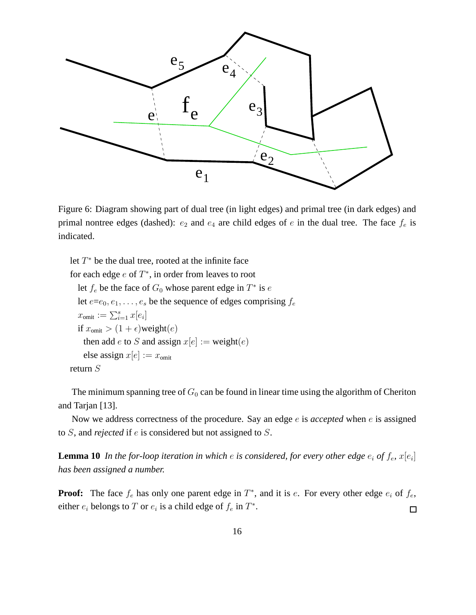

Figure 6: Diagram showing part of dual tree (in light edges) and primal tree (in dark edges) and primal nontree edges (dashed):  $e_2$  and  $e_4$  are child edges of e in the dual tree. The face  $f_e$  is indicated.

```
let T^* be the dual tree, rooted at the infinite face
for each edge e of T^*, in order from leaves to root
  let f_e be the face of G_0 whose parent edge in T^* is elet e=e_0, e_1, \ldots, e_s be the sequence of edges comprising f_ex_{\text{omit}} := \sum_{i=1}^s x[e_i]if x_{\text{omit}} > (1 + \epsilon)weight(e)then add e to S and assign x[e] := \text{weight}(e)else assign x[e] := x_{\text{omit}}return S
```
The minimum spanning tree of  $G_0$  can be found in linear time using the algorithm of Cheriton and Tarjan [13].

Now we address correctness of the procedure. Say an edge e is *accepted* when e is assigned to S, and *rejected* if e is considered but not assigned to S.

**Lemma 10** In the for-loop iteration in which  $e$  is considered, for every other edge  $e_i$  of  $f_e$ ,  $x[e_i]$ *has been assigned a number.*

**Proof:** The face  $f_e$  has only one parent edge in  $T^*$ , and it is e. For every other edge  $e_i$  of  $f_e$ , either  $e_i$  belongs to T or  $e_i$  is a child edge of  $f_e$  in  $T^*$ .  $\Box$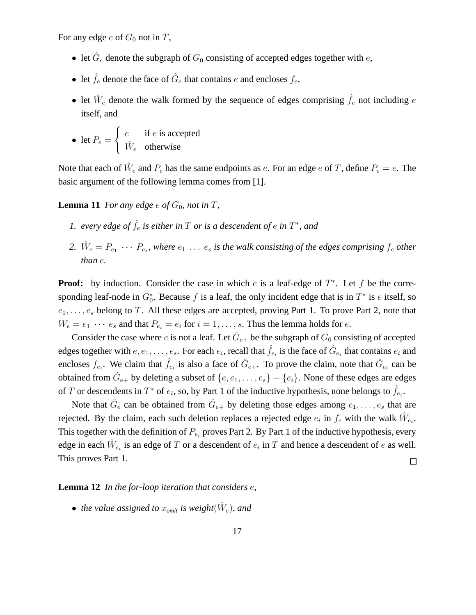For any edge  $e$  of  $G_0$  not in T,

- let  $\hat{G}_e$  denote the subgraph of  $G_0$  consisting of accepted edges together with  $e$ ,
- let  $\hat{f}_e$  denote the face of  $\hat{G}_e$  that contains e and encloses  $f_e$ ,
- let  $\hat{W}_e$  denote the walk formed by the sequence of edges comprising  $\hat{f}_e$  not including  $e$ itself, and

• let 
$$
P_e = \begin{cases} e & \text{if } e \text{ is accepted} \\ \hat{W}_e & \text{otherwise} \end{cases}
$$

Note that each of  $\hat{W}_e$  and  $P_e$  has the same endpoints as  $e$ . For an edge  $e$  of T, define  $P_e = e$ . The basic argument of the following lemma comes from [1].

**Lemma 11** *For any edge*  $e$  *of*  $G_0$ *, not in*  $T$ *,* 

- 1. every edge of  $\hat{f}_e$  is either in  $T$  or is a descendent of  $e$  in  $T^*$ , and
- 2.  $\hat{W}_e = P_{e_1} \cdots P_{e_s}$ , where  $e_1 \ldots e_s$  is the walk consisting of the edges comprising  $f_e$  other *than* e*.*

**Proof:** by induction. Consider the case in which  $e$  is a leaf-edge of  $T^*$ . Let  $f$  be the corresponding leaf-node in  $G_0^*$ . Because f is a leaf, the only incident edge that is in  $T^*$  is e itself, so  $e_1, \ldots, e_s$  belong to T. All these edges are accepted, proving Part 1. To prove Part 2, note that  $W_e = e_1 \cdots e_s$  and that  $P_{e_i} = e_i$  for  $i = 1, \ldots, s$ . Thus the lemma holds for  $e$ .

Consider the case where e is not a leaf. Let  $\hat{G}_{e+}$  be the subgraph of  $G_0$  consisting of accepted edges together with  $e, e_1, \ldots, e_s$ . For each  $e_i$ , recall that  $\hat{f}_{e_i}$  is the face of  $\hat{G}_{e_i}$  that contains  $e_i$  and encloses  $f_{e_i}$ . We claim that  $\hat{f}_{e_i}$  is also a face of  $\hat{G}_{e_+}$ . To prove the claim, note that  $\hat{G}_{e_i}$  can be obtained from  $\hat{G}_{e+}$  by deleting a subset of  $\{e, e_1, \ldots, e_s\} - \{e_i\}$ . None of these edges are edges of T or descendents in  $T^*$  of  $e_i$ , so, by Part 1 of the inductive hypothesis, none belongs to  $\hat{f}_{e_i}$ .

Note that  $\hat{G}_e$  can be obtained from  $\hat{G}_{e+}$  by deleting those edges among  $e_1, \ldots, e_s$  that are rejected. By the claim, each such deletion replaces a rejected edge  $e_i$  in  $f_e$  with the walk  $\hat{W}_{e_i}$ . This together with the definition of  $P_{e_i}$  proves Part 2. By Part 1 of the inductive hypothesis, every edge in each  $\hat{W}_{e_i}$  is an edge of T or a descendent of  $e_i$  in T and hence a descendent of  $e$  as well. This proves Part 1.  $\Box$ 

#### **Lemma 12** *In the for-loop iteration that considers* e*,*

• *the value assigned to*  $x_{omit}$  *is weight* $(\hat{W}_e)$ *, and*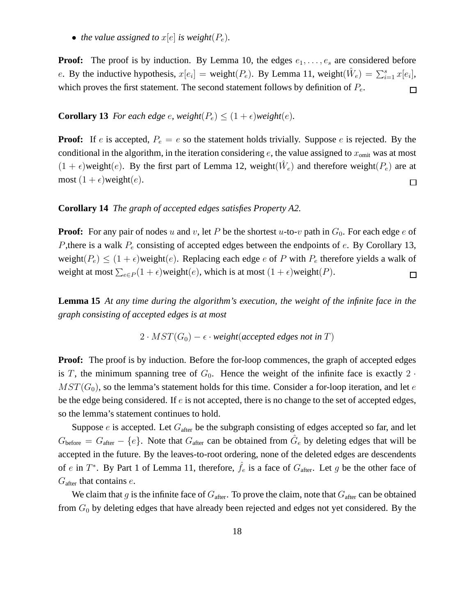• *the value assigned to*  $x[e]$  *is weight* $(P_e)$ *.* 

**Proof:** The proof is by induction. By Lemma 10, the edges  $e_1, \ldots, e_s$  are considered before e. By the inductive hypothesis,  $x[e_i] = \text{weight}(P_e)$ . By Lemma 11, weight $(\hat{W}_e) = \sum_{i=1}^{s} x[e_i]$ , which proves the first statement. The second statement follows by definition of  $P_e$ .  $\Box$ 

#### **Corollary 13** *For each edge e, weight* $(P_e) \leq (1 + \epsilon)$ *weight* $(e)$ *.*

**Proof:** If e is accepted,  $P_e = e$  so the statement holds trivially. Suppose e is rejected. By the conditional in the algorithm, in the iteration considering  $e$ , the value assigned to  $x_{\text{omit}}$  was at most  $(1 + \epsilon)$ weight $(e)$ . By the first part of Lemma 12, weight $(\hat{W}_e)$  and therefore weight $(P_e)$  are at most  $(1 + \epsilon)$ weight $(e)$ .  $\Box$ 

#### **Corollary 14** *The graph of accepted edges satisfies Property A2.*

**Proof:** For any pair of nodes u and v, let P be the shortest u-to-v path in  $G_0$ . For each edge e of P, there is a walk  $P_e$  consisting of accepted edges between the endpoints of  $e$ . By Corollary 13, weight( $P_e$ )  $\leq$  (1 +  $\epsilon$ )weight( $e$ ). Replacing each edge  $e$  of  $P$  with  $P_e$  therefore yields a walk of weight at most  $\sum_{e \in P} (1 + \epsilon)$ weight $(e)$ , which is at most  $(1 + \epsilon)$ weight $(P)$ .  $\Box$ 

**Lemma 15** *At any time during the algorithm's execution, the weight of the infinite face in the graph consisting of accepted edges is at most*

$$
2 \cdot MST(G_0) - \epsilon \cdot weight(accepted \ edges \ not \ in \ T)
$$

**Proof:** The proof is by induction. Before the for-loop commences, the graph of accepted edges is T, the minimum spanning tree of  $G_0$ . Hence the weight of the infinite face is exactly 2.  $MST(G_0)$ , so the lemma's statement holds for this time. Consider a for-loop iteration, and let e be the edge being considered. If  $e$  is not accepted, there is no change to the set of accepted edges, so the lemma's statement continues to hold.

Suppose  $e$  is accepted. Let  $G_{\text{after}}$  be the subgraph consisting of edges accepted so far, and let  $G_{before} = G_{after} - \{e\}$ . Note that  $G_{after}$  can be obtained from  $\hat{G}_e$  by deleting edges that will be accepted in the future. By the leaves-to-root ordering, none of the deleted edges are descendents of e in  $T^*$ . By Part 1 of Lemma 11, therefore,  $\hat{f}_e$  is a face of  $G_{\text{after}}$ . Let g be the other face of  $G_{\text{after}}$  that contains  $e$ .

We claim that g is the infinite face of  $G_{\text{after}}$ . To prove the claim, note that  $G_{\text{after}}$  can be obtained from  $G_0$  by deleting edges that have already been rejected and edges not yet considered. By the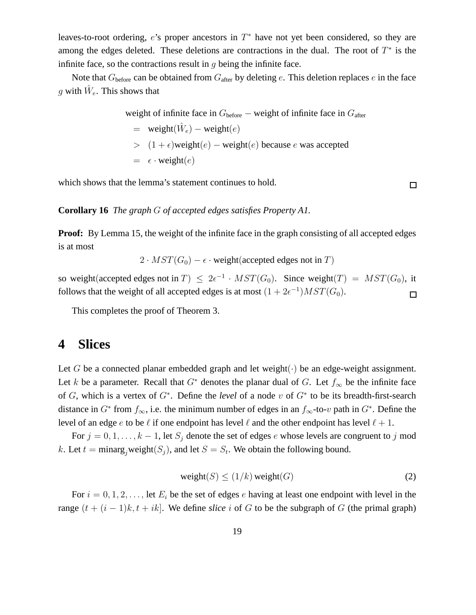leaves-to-root ordering,  $e$ 's proper ancestors in  $T^*$  have not yet been considered, so they are among the edges deleted. These deletions are contractions in the dual. The root of  $T^*$  is the infinite face, so the contractions result in  $q$  being the infinite face.

Note that  $G_{before}$  can be obtained from  $G_{after}$  by deleting e. This deletion replaces e in the face g with  $\hat{W}_e$ . This shows that

> weight of infinite face in  $G<sub>before</sub>$  – weight of infinite face in  $G<sub>after</sub>$  $=$  weight $(\hat{W}_e)$  – weight $(e)$  $>$  (1+ $\epsilon$ )weight(e) – weight(e) because e was accepted  $= \epsilon \cdot weight(e)$

which shows that the lemma's statement continues to hold.

 $\Box$ 

#### **Corollary 16** *The graph* G *of accepted edges satisfies Property A1.*

**Proof:** By Lemma 15, the weight of the infinite face in the graph consisting of all accepted edges is at most

 $2 \cdot MST(G_0) - \epsilon \cdot weight(accepted edges not in T)$ 

so weight(accepted edges not in  $T$ )  $\leq 2\epsilon^{-1} \cdot MST(G_0)$ . Since weight $(T) = MST(G_0)$ , it follows that the weight of all accepted edges is at most  $(1 + 2\epsilon^{-1})MST(G_0)$ .  $\Box$ 

This completes the proof of Theorem 3.

### **4 Slices**

Let G be a connected planar embedded graph and let weight $(\cdot)$  be an edge-weight assignment. Let k be a parameter. Recall that  $G^*$  denotes the planar dual of G. Let  $f_{\infty}$  be the infinite face of G, which is a vertex of G<sup>∗</sup> . Define the *level* of a node v of G<sup>∗</sup> to be its breadth-first-search distance in  $G^*$  from  $f_{\infty}$ , i.e. the minimum number of edges in an  $f_{\infty}$ -to- $v$  path in  $G^*$ . Define the level of an edge e to be  $\ell$  if one endpoint has level  $\ell$  and the other endpoint has level  $\ell + 1$ .

For  $j = 0, 1, \ldots, k - 1$ , let  $S_j$  denote the set of edges e whose levels are congruent to j mod k. Let  $t = \text{minarg}_j \text{weight}(S_j)$ , and let  $S = S_t$ . We obtain the following bound.

$$
weight(S) \le (1/k) weight(G)
$$
\n(2)

For  $i = 0, 1, 2, \ldots$ , let  $E_i$  be the set of edges e having at least one endpoint with level in the range  $(t + (i - 1)k, t + ik]$ . We define *slice* i of G to be the subgraph of G (the primal graph)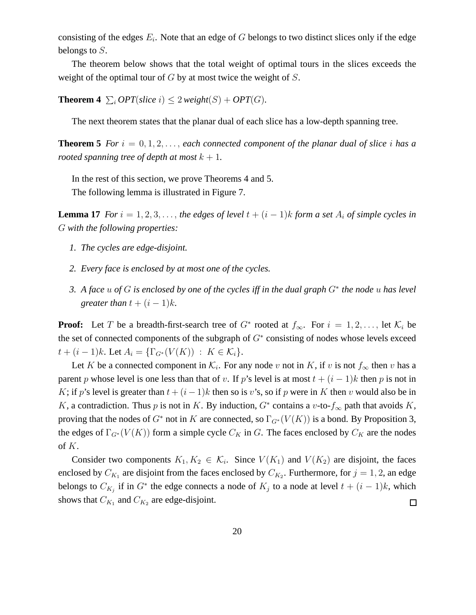consisting of the edges  $E_i$ . Note that an edge of G belongs to two distinct slices only if the edge belongs to S.

The theorem below shows that the total weight of optimal tours in the slices exceeds the weight of the optimal tour of  $G$  by at most twice the weight of  $S$ .

**Theorem 4**  $\sum_i OPT(\text{slice } i) \leq 2 \text{ weight}(S) + OPT(G)$ *.* 

The next theorem states that the planar dual of each slice has a low-depth spanning tree.

**Theorem 5** For  $i = 0, 1, 2, \ldots$ , each connected component of the planar dual of slice i has a *rooted spanning tree of depth at most*  $k + 1$ .

In the rest of this section, we prove Theorems 4 and 5. The following lemma is illustrated in Figure 7.

**Lemma 17** *For*  $i = 1, 2, 3, \ldots$ , *the edges of level*  $t + (i - 1)k$  *form a set*  $A_i$  *of simple cycles in* G *with the following properties:*

- *1. The cycles are edge-disjoint.*
- *2. Every face is enclosed by at most one of the cycles.*
- *3. A face* u *of* G *is enclosed by one of the cycles iff in the dual graph* G<sup>∗</sup> *the node* u *has level greater than*  $t + (i - 1)k$ *.*

**Proof:** Let T be a breadth-first-search tree of  $G^*$  rooted at  $f_{\infty}$ . For  $i = 1, 2, ...,$  let  $\mathcal{K}_i$  be the set of connected components of the subgraph of  $G^*$  consisting of nodes whose levels exceed  $t + (i - 1)k$ . Let  $A_i = \{\Gamma_{G^*}(V(K)) : K \in \mathcal{K}_i\}.$ 

Let K be a connected component in  $\mathcal{K}_i$ . For any node v not in K, if v is not  $f_{\infty}$  then v has a parent p whose level is one less than that of v. If p's level is at most  $t + (i - 1)k$  then p is not in K; if p's level is greater than  $t + (i - 1)k$  then so is v's, so if p were in K then v would also be in K, a contradiction. Thus p is not in K. By induction,  $G^*$  contains a v-to- $f_{\infty}$  path that avoids K, proving that the nodes of  $G^*$  not in K are connected, so  $\Gamma_{G^*}(V(K))$  is a bond. By Proposition 3, the edges of  $\Gamma_{G^*}(V(K))$  form a simple cycle  $C_K$  in G. The faces enclosed by  $C_K$  are the nodes of K.

Consider two components  $K_1, K_2 \in \mathcal{K}_i$ . Since  $V(K_1)$  and  $V(K_2)$  are disjoint, the faces enclosed by  $C_{K_1}$  are disjoint from the faces enclosed by  $C_{K_2}$ . Furthermore, for  $j = 1, 2$ , an edge belongs to  $C_{K_j}$  if in  $G^*$  the edge connects a node of  $K_j$  to a node at level  $t + (i - 1)k$ , which shows that  $C_{K_1}$  and  $C_{K_2}$  are edge-disjoint.  $\Box$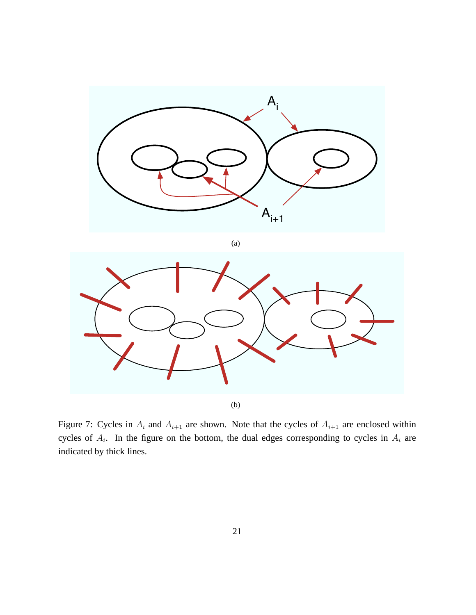



Figure 7: Cycles in  $A_i$  and  $A_{i+1}$  are shown. Note that the cycles of  $A_{i+1}$  are enclosed within cycles of  $A_i$ . In the figure on the bottom, the dual edges corresponding to cycles in  $A_i$  are indicated by thick lines.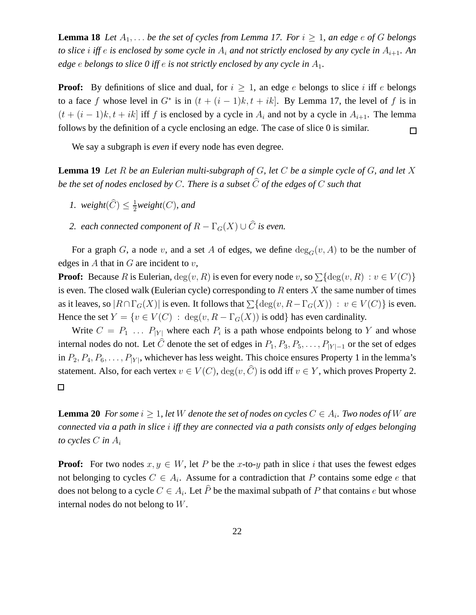**Lemma 18** Let  $A_1, \ldots$  be the set of cycles from Lemma 17. For  $i \geq 1$ , an edge  $e$  of G belongs *to slice i iff e is enclosed by some cycle in*  $A_i$  *and not strictly enclosed by any cycle in*  $A_{i+1}$ *. An edge* e *belongs to slice 0 iff* e *is not strictly enclosed by any cycle in* A1*.*

**Proof:** By definitions of slice and dual, for  $i \geq 1$ , an edge e belongs to slice i iff e belongs to a face f whose level in  $G^*$  is in  $(t + (i - 1)k, t + ik]$ . By Lemma 17, the level of f is in  $(t + (i - 1)k, t + ik)$  iff f is enclosed by a cycle in  $A_i$  and not by a cycle in  $A_{i+1}$ . The lemma follows by the definition of a cycle enclosing an edge. The case of slice 0 is similar.  $\Box$ 

We say a subgraph is *even* if every node has even degree.

**Lemma 19** *Let* R *be an Eulerian multi-subgraph of* G*, let* C *be a simple cycle of* G*, and let* X *be the set of nodes enclosed by C. There is a subset*  $\widehat{C}$  *of the edges of* C *such that* 

- *1.* weight $(\widehat{C}) \leq \frac{1}{2}$  $\frac{1}{2}$ *weight*(*C*), and
- *2. each connected component of*  $R \Gamma_G(X) \cup \widehat{C}$  *is even.*

For a graph G, a node v, and a set A of edges, we define  $deg_G(v, A)$  to be the number of edges in  $A$  that in  $G$  are incident to  $v$ ,

**Proof:** Because R is Eulerian,  $deg(v, R)$  is even for every node v, so  $\sum \{deg(v, R) : v \in V(C)\}$ is even. The closed walk (Eulerian cycle) corresponding to  $R$  enters  $X$  the same number of times as it leaves, so  $|R \cap \Gamma_G(X)|$  is even. It follows that  $\sum {\deg(v, R - \Gamma_G(X))} : v \in V(C)$  is even. Hence the set  $Y = \{v \in V(C) : \deg(v, R - \Gamma_G(X)) \text{ is odd} \}$  has even cardinality.

Write  $C = P_1 \ldots P_{|Y|}$  where each  $P_i$  is a path whose endpoints belong to Y and whose internal nodes do not. Let  $\hat{C}$  denote the set of edges in  $P_1, P_3, P_5, \ldots, P_{|Y|-1}$  or the set of edges in  $P_2, P_4, P_6, \ldots, P_{|Y|}$ , whichever has less weight. This choice ensures Property 1 in the lemma's statement. Also, for each vertex  $v \in V(C)$ ,  $deg(v, C)$  is odd iff  $v \in Y$ , which proves Property 2.  $\Box$ 

**Lemma 20** *For some*  $i \geq 1$ *, let*  $W$  *denote the set of nodes on cycles*  $C \in A_i$ *. Two nodes of*  $W$  *are connected via a path in slice* i *iff they are connected via a path consists only of edges belonging to cycles*  $C$  *in*  $A_i$ 

**Proof:** For two nodes  $x, y \in W$ , let P be the x-to-y path in slice i that uses the fewest edges not belonging to cycles  $C \in A_i$ . Assume for a contradiction that P contains some edge e that does not belong to a cycle  $C \in A_i$ . Let P be the maximal subpath of P that contains  $e$  but whose internal nodes do not belong to W.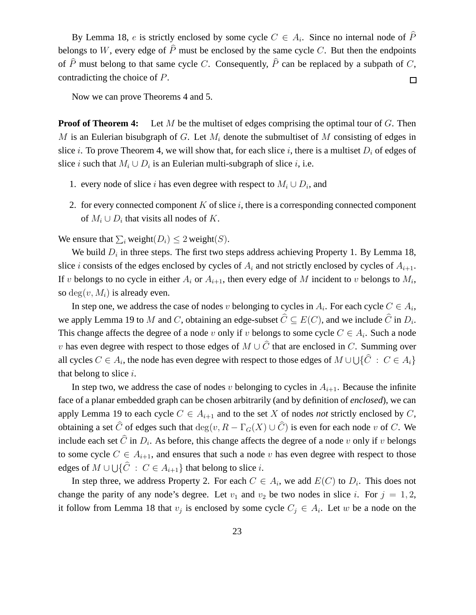By Lemma 18, e is strictly enclosed by some cycle  $C \in A_i$ . Since no internal node of P belongs to W, every edge of  $\hat{P}$  must be enclosed by the same cycle C. But then the endpoints of  $\hat{P}$  must belong to that same cycle C. Consequently,  $\hat{P}$  can be replaced by a subpath of C, contradicting the choice of P.  $\Box$ 

Now we can prove Theorems 4 and 5.

**Proof of Theorem 4:** Let M be the multiset of edges comprising the optimal tour of G. Then M is an Eulerian bisubgraph of G. Let  $M_i$  denote the submultiset of M consisting of edges in slice *i*. To prove Theorem 4, we will show that, for each slice *i*, there is a multiset  $D_i$  of edges of slice *i* such that  $M_i \cup D_i$  is an Eulerian multi-subgraph of slice *i*, i.e.

- 1. every node of slice *i* has even degree with respect to  $M_i \cup D_i$ , and
- 2. for every connected component  $K$  of slice  $i$ , there is a corresponding connected component of  $M_i \cup D_i$  that visits all nodes of K.

We ensure that  $\sum_i$  weight $(D_i) \leq 2$  weight $(S)$ .

We build  $D_i$  in three steps. The first two steps address achieving Property 1. By Lemma 18, slice *i* consists of the edges enclosed by cycles of  $A_i$  and not strictly enclosed by cycles of  $A_{i+1}$ . If v belongs to no cycle in either  $A_i$  or  $A_{i+1}$ , then every edge of M incident to v belongs to  $M_i$ , so deg $(v, M_i)$  is already even.

In step one, we address the case of nodes v belonging to cycles in  $A_i$ . For each cycle  $C \in A_i$ , we apply Lemma 19 to M and C, obtaining an edge-subset  $C \subseteq E(C)$ , and we include C in  $D_i$ . This change affects the degree of a node v only if v belongs to some cycle  $C \in A_i$ . Such a node v has even degree with respect to those edges of  $M \cup \widehat{C}$  that are enclosed in C. Summing over all cycles  $C \in A_i,$  the node has even degree with respect to those edges of  $M \cup \bigcup \{\widehat{C}~:~C \in A_i\}$ that belong to slice  $i$ .

In step two, we address the case of nodes v belonging to cycles in  $A_{i+1}$ . Because the infinite face of a planar embedded graph can be chosen arbitrarily (and by definition of *enclosed*), we can apply Lemma 19 to each cycle  $C \in A_{i+1}$  and to the set X of nodes *not* strictly enclosed by C, obtaining a set  $\widehat{C}$  of edges such that  $\deg(v, R - \Gamma_{G}(X) \cup \widehat{C})$  is even for each node v of C. We include each set C in  $D_i$ . As before, this change affects the degree of a node v only if v belongs to some cycle  $C \in A_{i+1}$ , and ensures that such a node v has even degree with respect to those edges of  $M \cup \bigcup \{ \widehat{C} : C \in A_{i+1} \}$  that belong to slice i.

In step three, we address Property 2. For each  $C \in A_i$ , we add  $E(C)$  to  $D_i$ . This does not change the parity of any node's degree. Let  $v_1$  and  $v_2$  be two nodes in slice i. For  $j = 1, 2$ , it follow from Lemma 18 that  $v_j$  is enclosed by some cycle  $C_j \in A_i$ . Let w be a node on the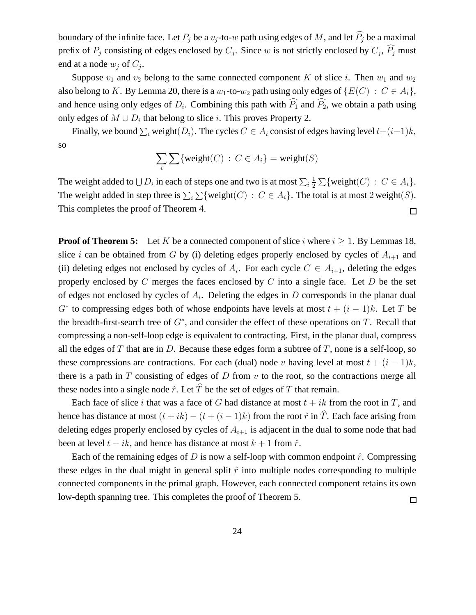boundary of the infinite face. Let  $P_j$  be a  $v_j$ -to-w path using edges of M, and let  $\widehat{P_j}$  be a maximal prefix of  $P_j$  consisting of edges enclosed by  $C_j$ . Since w is not strictly enclosed by  $C_j$ ,  $P_j$  must end at a node  $w_j$  of  $C_j$ .

Suppose  $v_1$  and  $v_2$  belong to the same connected component K of slice i. Then  $w_1$  and  $w_2$ also belong to K. By Lemma 20, there is a  $w_1$ -to- $w_2$  path using only edges of  $\{E(C) : C \in A_i\}$ , and hence using only edges of  $D_i$ . Combining this path with  $P_1$  and  $P_2$ , we obtain a path using only edges of  $M \cup D_i$  that belong to slice i. This proves Property 2.

Finally, we bound  $\sum_i$  weight $(D_i)$ . The cycles  $C \in A_i$  consist of edges having level  $t+(i-1)k$ , so

$$
\sum_i \sum \{weight(C) : C \in A_i\} = weight(S)
$$

The weight added to  $\bigcup D_i$  in each of steps one and two is at most  $\sum_i \frac{1}{2}$  $\frac{1}{2} \sum \{ \text{weight}(C) : C \in A_i \}.$ The weight added in step three is  $\sum_i \sum \{weight(C) : C \in A_i\}$ . The total is at most 2 weight(S). This completes the proof of Theorem 4.  $\Box$ 

**Proof of Theorem 5:** Let K be a connected component of slice i where  $i \ge 1$ . By Lemmas 18, slice i can be obtained from G by (i) deleting edges properly enclosed by cycles of  $A_{i+1}$  and (ii) deleting edges not enclosed by cycles of  $A_i$ . For each cycle  $C \in A_{i+1}$ , deleting the edges properly enclosed by  $C$  merges the faces enclosed by  $C$  into a single face. Let  $D$  be the set of edges not enclosed by cycles of  $A_i$ . Deleting the edges in D corresponds in the planar dual  $G^*$  to compressing edges both of whose endpoints have levels at most  $t + (i - 1)k$ . Let T be the breadth-first-search tree of  $G^*$ , and consider the effect of these operations on  $T$ . Recall that compressing a non-self-loop edge is equivalent to contracting. First, in the planar dual, compress all the edges of T that are in D. Because these edges form a subtree of T, none is a self-loop, so these compressions are contractions. For each (dual) node v having level at most  $t + (i - 1)k$ , there is a path in  $T$  consisting of edges of  $D$  from  $v$  to the root, so the contractions merge all these nodes into a single node  $\hat{r}$ . Let  $\hat{T}$  be the set of edges of T that remain.

Each face of slice i that was a face of G had distance at most  $t + ik$  from the root in T, and hence has distance at most  $(t + ik) - (t + (i - 1)k)$  from the root  $\hat{r}$  in  $\hat{T}$ . Each face arising from deleting edges properly enclosed by cycles of  $A_{i+1}$  is adjacent in the dual to some node that had been at level  $t + ik$ , and hence has distance at most  $k + 1$  from  $\hat{r}$ .

Each of the remaining edges of D is now a self-loop with common endpoint  $\hat{r}$ . Compressing these edges in the dual might in general split  $\hat{r}$  into multiple nodes corresponding to multiple connected components in the primal graph. However, each connected component retains its own low-depth spanning tree. This completes the proof of Theorem 5.  $\Box$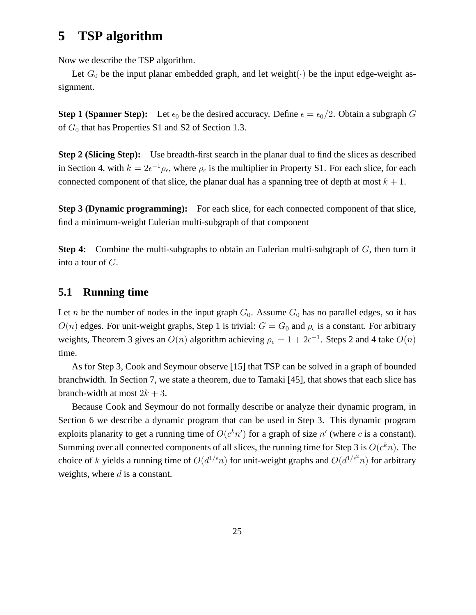# **5 TSP algorithm**

Now we describe the TSP algorithm.

Let  $G_0$  be the input planar embedded graph, and let weight( $\cdot$ ) be the input edge-weight assignment.

**Step 1 (Spanner Step):** Let  $\epsilon_0$  be the desired accuracy. Define  $\epsilon = \epsilon_0/2$ . Obtain a subgraph G of  $G_0$  that has Properties S1 and S2 of Section 1.3.

**Step 2 (Slicing Step):** Use breadth-first search in the planar dual to find the slices as described in Section 4, with  $k = 2\epsilon^{-1}\rho_{\epsilon}$ , where  $\rho_{\epsilon}$  is the multiplier in Property S1. For each slice, for each connected component of that slice, the planar dual has a spanning tree of depth at most  $k + 1$ .

**Step 3 (Dynamic programming):** For each slice, for each connected component of that slice, find a minimum-weight Eulerian multi-subgraph of that component

**Step 4:** Combine the multi-subgraphs to obtain an Eulerian multi-subgraph of G, then turn it into a tour of G.

### **5.1 Running time**

Let *n* be the number of nodes in the input graph  $G_0$ . Assume  $G_0$  has no parallel edges, so it has  $O(n)$  edges. For unit-weight graphs, Step 1 is trivial:  $G = G_0$  and  $\rho_\epsilon$  is a constant. For arbitrary weights, Theorem 3 gives an  $O(n)$  algorithm achieving  $\rho_{\epsilon} = 1 + 2\epsilon^{-1}$ . Steps 2 and 4 take  $O(n)$ time.

As for Step 3, Cook and Seymour observe [15] that TSP can be solved in a graph of bounded branchwidth. In Section 7, we state a theorem, due to Tamaki [45], that shows that each slice has branch-width at most  $2k + 3$ .

Because Cook and Seymour do not formally describe or analyze their dynamic program, in Section 6 we describe a dynamic program that can be used in Step 3. This dynamic program exploits planarity to get a running time of  $O(c^k n')$  for a graph of size  $n'$  (where c is a constant). Summing over all connected components of all slices, the running time for Step 3 is  $O(c^k n)$ . The choice of k yields a running time of  $O(d^{1/\epsilon}n)$  for unit-weight graphs and  $O(d^{1/\epsilon^2}n)$  for arbitrary weights, where  $d$  is a constant.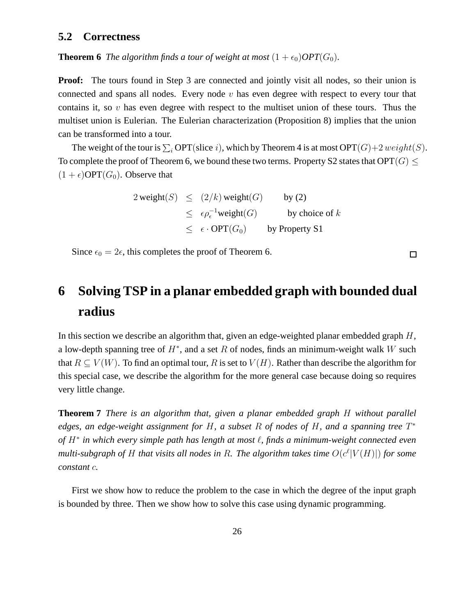#### **5.2 Correctness**

**Theorem 6** *The algorithm finds a tour of weight at most*  $(1 + \epsilon_0)OPT(G_0)$ *.* 

**Proof:** The tours found in Step 3 are connected and jointly visit all nodes, so their union is connected and spans all nodes. Every node  $v$  has even degree with respect to every tour that contains it, so  $v$  has even degree with respect to the multiset union of these tours. Thus the multiset union is Eulerian. The Eulerian characterization (Proposition 8) implies that the union can be transformed into a tour.

The weight of the tour is  $\sum_i \text{OPT}(\text{slice } i)$ , which by Theorem 4 is at most  $\text{OPT}(G)+2$  weight $(S)$ . To complete the proof of Theorem 6, we bound these two terms. Property S2 states that  $\text{OPT}(G) \leq$  $(1 + \epsilon)$ OPT $(G_0)$ . Observe that

> $2 \text{ weight}(S) \leq (2/k) \text{ weight}(G)$  by (2)  $\leq \epsilon \rho_{\epsilon}^{-1}$ weight $(G)$  by choice of k  $\leq \epsilon \cdot \text{OPT}(G_0)$  by Property S1

Since  $\epsilon_0 = 2\epsilon$ , this completes the proof of Theorem 6.

# **6 Solving TSP in a planar embedded graph with bounded dual radius**

In this section we describe an algorithm that, given an edge-weighted planar embedded graph  $H$ , a low-depth spanning tree of  $H^*$ , and a set R of nodes, finds an minimum-weight walk W such that  $R \subseteq V(W)$ . To find an optimal tour, R is set to  $V(H)$ . Rather than describe the algorithm for this special case, we describe the algorithm for the more general case because doing so requires very little change.

**Theorem 7** *There is an algorithm that, given a planar embedded graph* H *without parallel edges, an edge-weight assignment for* H*, a subset* R *of nodes of* H*, and a spanning tree* T ∗ *of* H<sup>∗</sup> *in which every simple path has length at most* ℓ*, finds a minimum-weight connected even* multi-subgraph of H that visits all nodes in R. The algorithm takes time  $O(c^{\ell}|V(H)|)$  for some *constant* c*.*

First we show how to reduce the problem to the case in which the degree of the input graph is bounded by three. Then we show how to solve this case using dynamic programming.

 $\Box$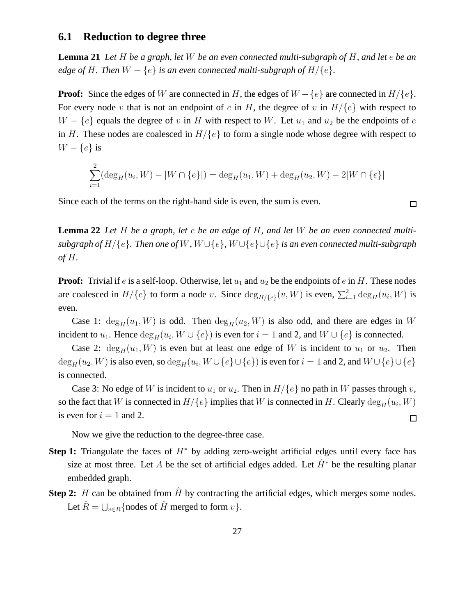#### **6.1 Reduction to degree three**

**Lemma 21** *Let* H *be a graph, let* W *be an even connected multi-subgraph of* H*, and let* e *be an edge of* H. Then  $W - \{e\}$  *is an even connected multi-subgraph of*  $H/\{e\}$ *.* 

**Proof:** Since the edges of W are connected in H, the edges of  $W - \{e\}$  are connected in  $H/\{e\}$ . For every node v that is not an endpoint of e in H, the degree of v in  $H/{e}$  with respect to  $W - \{e\}$  equals the degree of v in H with respect to W. Let  $u_1$  and  $u_2$  be the endpoints of e in H. These nodes are coalesced in  $H/\{e\}$  to form a single node whose degree with respect to  $W - \{e\}$  is

$$
\sum_{i=1}^{2} (\deg_H(u_i, W) - |W \cap \{e\}|) = \deg_H(u_1, W) + \deg_H(u_2, W) - 2|W \cap \{e\}|
$$

Since each of the terms on the right-hand side is even, the sum is even.

**Lemma 22** *Let* H *be a graph, let* e *be an edge of* H*, and let* W *be an even connected multisubgraph of* H/{e}*. Then one of* W*,* W ∪{e}*,* W ∪{e}∪{e} *is an even connected multi-subgraph of* H*.*

**Proof:** Trivial if e is a self-loop. Otherwise, let  $u_1$  and  $u_2$  be the endpoints of e in H. These nodes are coalesced in  $H/\{e\}$  to form a node v. Since  $\deg_{H/\{e\}}(v, W)$  is even,  $\sum_{i=1}^{2} \deg_H(u_i, W)$  is even.

Case 1:  $deg_H(u_1, W)$  is odd. Then  $deg_H(u_2, W)$  is also odd, and there are edges in W incident to  $u_1$ . Hence  $\deg_H(u_i, W \cup \{e\})$  is even for  $i = 1$  and 2, and  $W \cup \{e\}$  is connected.

Case 2:  $deg_H(u_1, W)$  is even but at least one edge of W is incident to  $u_1$  or  $u_2$ . Then  $\deg_H(u_2, W)$  is also even, so  $\deg_H(u_i, W \cup \{e\} \cup \{e\})$  is even for  $i = 1$  and 2, and  $W \cup \{e\} \cup \{e\}$ is connected.

Case 3: No edge of W is incident to  $u_1$  or  $u_2$ . Then in  $H/{e}$  no path in W passes through v, so the fact that  $W$  is connected in  $H/\{e\}$  implies that  $W$  is connected in  $H.$  Clearly  $\deg_H(u_i,W)$ is even for  $i = 1$  and 2.  $\Box$ 

Now we give the reduction to the degree-three case.

- **Step 1:** Triangulate the faces of H<sup>∗</sup> by adding zero-weight artificial edges until every face has size at most three. Let A be the set of artificial edges added. Let  $\hat{H}^*$  be the resulting planar embedded graph.
- **Step 2:** H can be obtained from  $\hat{H}$  by contracting the artificial edges, which merges some nodes. Let  $\hat{R} = \bigcup_{v \in R} \{\text{nodes of } \hat{H} \text{ merged to form } v\}.$

 $\Box$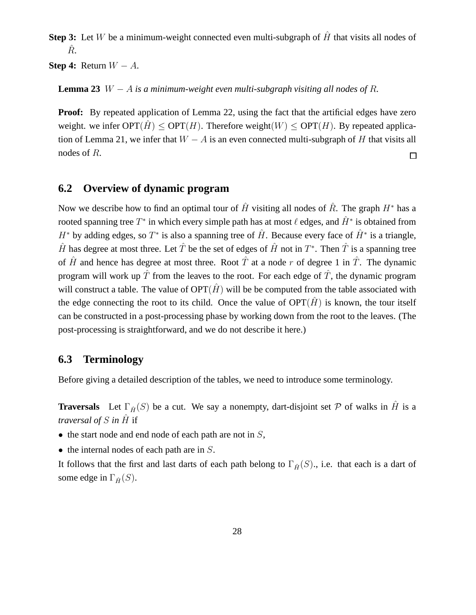**Step 3:** Let W be a minimum-weight connected even multi-subgraph of  $\hat{H}$  that visits all nodes of  $R_{\cdot}$ 

**Step 4:** Return  $W - A$ .

**Lemma 23** W  $-A$  *is a minimum-weight even multi-subgraph visiting all nodes of R.* 

**Proof:** By repeated application of Lemma 22, using the fact that the artificial edges have zero weight. we infer  $\text{OPT}(H) \leq \text{OPT}(H)$ . Therefore weight $(W) \leq \text{OPT}(H)$ . By repeated application of Lemma 21, we infer that  $W - A$  is an even connected multi-subgraph of H that visits all nodes of R. □

### **6.2 Overview of dynamic program**

Now we describe how to find an optimal tour of  $\hat{H}$  visiting all nodes of  $\hat{R}$ . The graph  $H^*$  has a rooted spanning tree  $T^*$  in which every simple path has at most  $\ell$  edges, and  $\hat{H}^*$  is obtained from  $H^*$  by adding edges, so  $T^*$  is also a spanning tree of  $\hat{H}$ . Because every face of  $\hat{H}^*$  is a triangle,  $\hat{H}$  has degree at most three. Let  $\hat{T}$  be the set of edges of  $\hat{H}$  not in  $T^*$ . Then  $\hat{T}$  is a spanning tree of  $\hat{H}$  and hence has degree at most three. Root  $\hat{T}$  at a node r of degree 1 in  $\hat{T}$ . The dynamic program will work up  $\hat{T}$  from the leaves to the root. For each edge of  $\hat{T}$ , the dynamic program will construct a table. The value of  $OPT(\hat{H})$  will be be computed from the table associated with the edge connecting the root to its child. Once the value of  $OPT(\hat{H})$  is known, the tour itself can be constructed in a post-processing phase by working down from the root to the leaves. (The post-processing is straightforward, and we do not describe it here.)

### **6.3 Terminology**

Before giving a detailed description of the tables, we need to introduce some terminology.

**Traversals** Let  $\Gamma_{\hat{H}}(S)$  be a cut. We say a nonempty, dart-disjoint set P of walks in  $\hat{H}$  is a *traversal of*  $S$  *in*  $\hat{H}$  if

- the start node and end node of each path are not in  $S$ ,
- $\bullet$  the internal nodes of each path are in  $S$ .

It follows that the first and last darts of each path belong to  $\Gamma_{\hat{H}}(S)$ ., i.e. that each is a dart of some edge in  $\Gamma_{\hat{H}}(S)$ .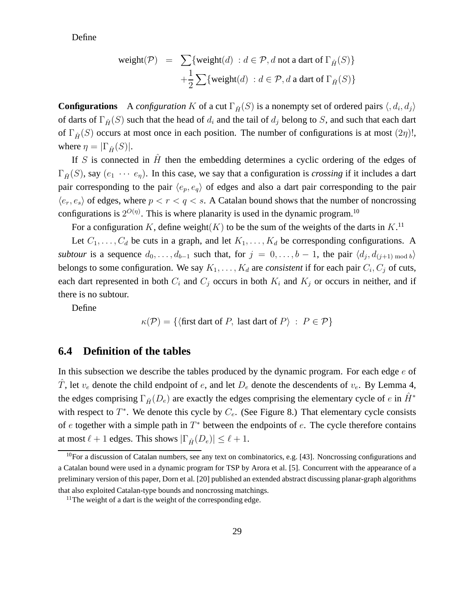Define

$$
\begin{array}{lcl} \mathsf{weight}(\mathcal{P}) & = & \sum \{ \mathsf{weight}(d) \, : d \in \mathcal{P}, d \text{ not a dart of } \Gamma_{\hat{H}}(S) \} \\ & + \frac{1}{2} \sum \{ \mathsf{weight}(d) \, : d \in \mathcal{P}, d \text{ a dart of } \Gamma_{\hat{H}}(S) \} \end{array}
$$

**Configurations** A *configuration* K of a cut  $\Gamma_{\hat{H}}(S)$  is a nonempty set of ordered pairs  $\langle, d_i, d_j \rangle$ of darts of  $\Gamma_{\hat{H}}(S)$  such that the head of  $d_i$  and the tail of  $d_j$  belong to S, and such that each dart of  $\Gamma_{\hat{H}}(S)$  occurs at most once in each position. The number of configurations is at most  $(2\eta)!$ , where  $\eta = |\Gamma_{\hat{H}}(S)|$ .

If S is connected in  $\hat{H}$  then the embedding determines a cyclic ordering of the edges of  $\Gamma_{\hat{H}}(S)$ , say  $(e_1 \cdots e_n)$ . In this case, we say that a configuration is *crossing* if it includes a dart pair corresponding to the pair  $\langle e_p, e_q \rangle$  of edges and also a dart pair corresponding to the pair  $\langle e_r, e_s \rangle$  of edges, where  $p < r < q < s$ . A Catalan bound shows that the number of noncrossing configurations is  $2^{O(\eta)}$ . This is where planarity is used in the dynamic program.<sup>10</sup>

For a configuration K, define weight $(K)$  to be the sum of the weights of the darts in  $K$ .<sup>11</sup>

Let  $C_1, \ldots, C_d$  be cuts in a graph, and let  $K_1, \ldots, K_d$  be corresponding configurations. A *subtour* is a sequence  $d_0, \ldots, d_{b-1}$  such that, for  $j = 0, \ldots, b-1$ , the pair  $\langle d_j, d_{(j+1) \bmod b} \rangle$ belongs to some configuration. We say  $K_1, \ldots, K_d$  are *consistent* if for each pair  $C_i, C_j$  of cuts, each dart represented in both  $C_i$  and  $C_j$  occurs in both  $K_i$  and  $K_j$  or occurs in neither, and if there is no subtour.

Define

$$
\kappa(\mathcal{P}) = \{ \langle \text{first dart of } P, \text{ last dart of } P \rangle : P \in \mathcal{P} \}
$$

#### **6.4 Definition of the tables**

In this subsection we describe the tables produced by the dynamic program. For each edge  $e$  of  $\hat{T}$ , let  $v_e$  denote the child endpoint of e, and let  $D_e$  denote the descendents of  $v_e$ . By Lemma 4, the edges comprising  $\Gamma_{\hat{H}}(D_e)$  are exactly the edges comprising the elementary cycle of e in  $\hat{H}^*$ with respect to  $T^*$ . We denote this cycle by  $C_e$ . (See Figure 8.) That elementary cycle consists of  $e$  together with a simple path in  $T^*$  between the endpoints of  $e$ . The cycle therefore contains at most  $\ell + 1$  edges. This shows  $|\Gamma_{\hat{H}}(D_e)| \leq \ell + 1$ .

<sup>&</sup>lt;sup>10</sup>For a discussion of Catalan numbers, see any text on combinatorics, e.g. [43]. Noncrossing configurations and a Catalan bound were used in a dynamic program for TSP by Arora et al. [5]. Concurrent with the appearance of a preliminary version of this paper, Dorn et al. [20] published an extended abstract discussing planar-graph algorithms that also exploited Catalan-type bounds and noncrossing matchings.

<sup>&</sup>lt;sup>11</sup>The weight of a dart is the weight of the corresponding edge.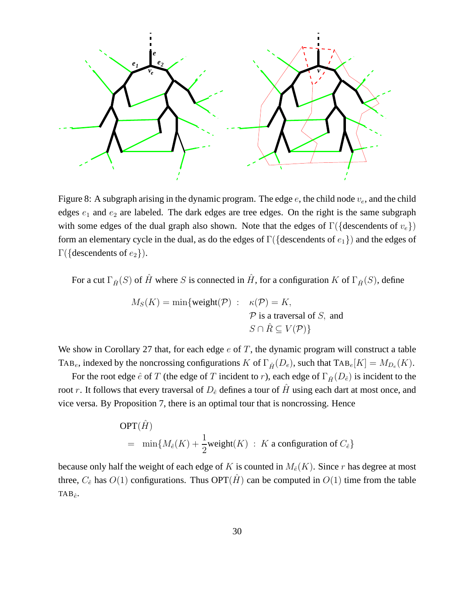

Figure 8: A subgraph arising in the dynamic program. The edge  $e$ , the child node  $v_e$ , and the child edges  $e_1$  and  $e_2$  are labeled. The dark edges are tree edges. On the right is the same subgraph with some edges of the dual graph also shown. Note that the edges of  $\Gamma(\{\text{descenders of } v_e\})$ form an elementary cycle in the dual, as do the edges of  $\Gamma$ ({descendents of  $e_1$ }) and the edges of Γ({descendents of  $e_2$ }).

For a cut  $\Gamma_{\hat{H}}(S)$  of  $\hat{H}$  where S is connected in  $\hat{H}$ , for a configuration K of  $\Gamma_{\hat{H}}(S)$ , define

$$
M_S(K) = \min\{\text{weight}(\mathcal{P}) : \kappa(\mathcal{P}) = K,
$$
  

$$
\mathcal{P} \text{ is a traversal of } S, \text{ and}
$$
  

$$
S \cap \hat{R} \subseteq V(\mathcal{P})\}
$$

We show in Corollary 27 that, for each edge  $e$  of  $T$ , the dynamic program will construct a table TAB<sub>e</sub>, indexed by the noncrossing configurations K of  $\Gamma_{\hat{H}}(D_e)$ , such that  $\text{Tab}_e[K] = M_{D_e}(K)$ .

For the root edge  $\hat{e}$  of T (the edge of T incident to r), each edge of  $\Gamma_{\hat{H}}(D_{\hat{e}})$  is incident to the root r. It follows that every traversal of  $D_{\hat{e}}$  defines a tour of  $\hat{H}$  using each dart at most once, and vice versa. By Proposition 7, there is an optimal tour that is noncrossing. Hence

$$
\text{OPT}(\hat{H})
$$
  
= min{ $M_{\hat{e}}(K)$  +  $\frac{1}{2}$ weight(K) : K a configuration of  $C_{\hat{e}}$ }

because only half the weight of each edge of K is counted in  $M_{\hat{e}}(K)$ . Since r has degree at most three,  $C_{\hat{e}}$  has  $O(1)$  configurations. Thus OPT( $\hat{H}$ ) can be computed in  $O(1)$  time from the table TAB $\hat{e}$ .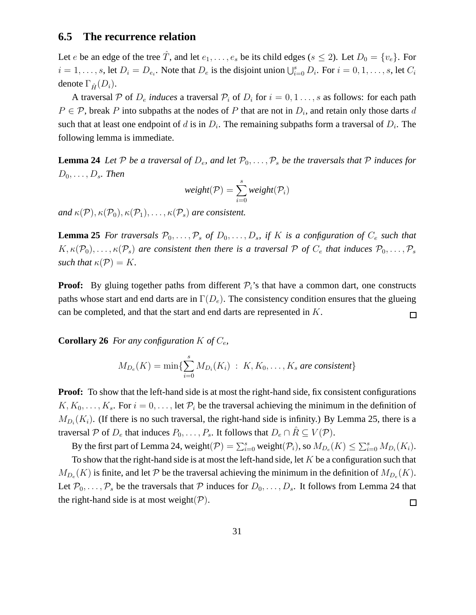### **6.5 The recurrence relation**

Let e be an edge of the tree  $\hat{T}$ , and let  $e_1, \ldots, e_s$  be its child edges ( $s \leq 2$ ). Let  $D_0 = \{v_e\}$ . For  $i = 1, \ldots, s$ , let  $D_i = D_{e_i}$ . Note that  $D_e$  is the disjoint union  $\bigcup_{i=0}^s D_i$ . For  $i = 0, 1, \ldots, s$ , let  $C_i$ denote  $\Gamma_{\hat{H}}(D_i)$ .

A traversal P of  $D_e$  *induces* a traversal  $P_i$  of  $D_i$  for  $i = 0, 1, \ldots, s$  as follows: for each path  $P \in \mathcal{P}$ , break P into subpaths at the nodes of P that are not in  $D_i$ , and retain only those darts d such that at least one endpoint of d is in  $D_i$ . The remaining subpaths form a traversal of  $D_i$ . The following lemma is immediate.

**Lemma 24** *Let* P *be a traversal of*  $D_e$ *, and let*  $\mathcal{P}_0, \ldots, \mathcal{P}_s$  *be the traversals that* P *induces for*  $D_0, \ldots, D_s$ . Then

$$
weight(\mathcal{P}) = \sum_{i=0}^{s} weight(\mathcal{P}_i)
$$

*and*  $\kappa(\mathcal{P}), \kappa(\mathcal{P}_0), \kappa(\mathcal{P}_1), \ldots, \kappa(\mathcal{P}_s)$  *are consistent.* 

**Lemma 25** *For traversals*  $\mathcal{P}_0, \ldots, \mathcal{P}_s$  *of*  $D_0, \ldots, D_s$ *, if* K *is a configuration of*  $C_e$  *such that*  $K, \kappa(\mathcal{P}_0), \ldots, \kappa(\mathcal{P}_s)$  are consistent then there is a traversal P of  $C_e$  that induces  $\mathcal{P}_0, \ldots, \mathcal{P}_s$ *such that*  $\kappa(\mathcal{P}) = K$ .

**Proof:** By gluing together paths from different  $P_i$ 's that have a common dart, one constructs paths whose start and end darts are in  $\Gamma(D_e)$ . The consistency condition ensures that the glueing can be completed, and that the start and end darts are represented in K.  $\Box$ 

**Corollary 26** *For any configuration*  $K$  *of*  $C_e$ *,* 

$$
M_{D_e}(K) = \min\{\sum_{i=0}^s M_{D_i}(K_i) : K, K_0, \ldots, K_s \text{ are consistent}\}
$$

**Proof:** To show that the left-hand side is at most the right-hand side, fix consistent configurations  $K, K_0, \ldots, K_s$ . For  $i = 0, \ldots$ , let  $\mathcal{P}_i$  be the traversal achieving the minimum in the definition of  $M_{D_i}(K_i)$ . (If there is no such traversal, the right-hand side is infinity.) By Lemma 25, there is a traversal P of  $D_e$  that induces  $P_0, \ldots, P_s$ . It follows that  $D_e \cap \hat{R} \subseteq V(\mathcal{P})$ .

By the first part of Lemma 24, weight $(P) = \sum_{i=0}^{s}$  weight $(P_i)$ , so  $M_{D_e}(K) \le \sum_{i=0}^{s} M_{D_i}(K_i)$ .

To show that the right-hand side is at most the left-hand side, let  $K$  be a configuration such that  $M_{D_e}(K)$  is finite, and let P be the traversal achieving the minimum in the definition of  $M_{D_e}(K)$ . Let  $\mathcal{P}_0, \ldots, \mathcal{P}_s$  be the traversals that  $\mathcal P$  induces for  $D_0, \ldots, D_s$ . It follows from Lemma 24 that the right-hand side is at most weight( $\mathcal{P}$ ).  $\Box$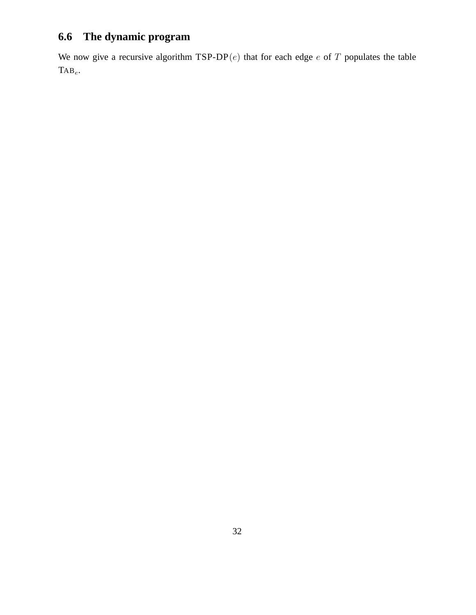# **6.6 The dynamic program**

We now give a recursive algorithm  $TSP-DP(e)$  that for each edge e of T populates the table  $\text{Tab}_e$ .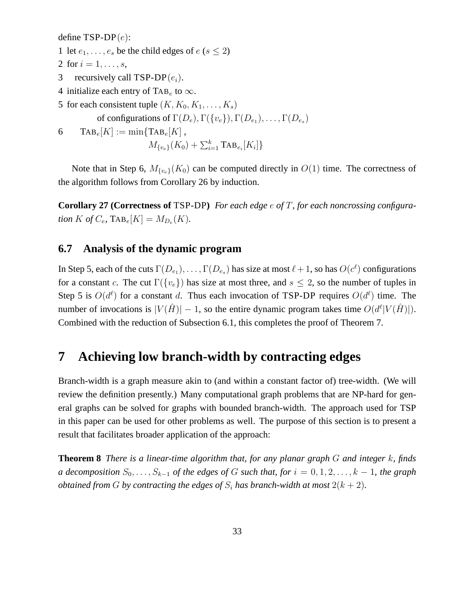define  $TSP-DP(e)$ :

- 1 let  $e_1, \ldots, e_s$  be the child edges of  $e (s \leq 2)$
- 2 for  $i = 1, ..., s$ ,
- 3 recursively call TSP-DP $(e_i)$ .
- 4 initialize each entry of TAB<sub>e</sub> to  $\infty$ .
- 5 for each consistent tuple  $(K, K_0, K_1, \ldots, K_s)$ 
	- of configurations of  $\Gamma(D_e)$ ,  $\Gamma(\lbrace v_e \rbrace)$ ,  $\Gamma(D_{e_1})$ , ...,  $\Gamma(D_{e_s})$

$$
6\qquad \text{Tab}_e[K] := \min\{\text{Tab}_e[K]\},\
$$

$$
M_{\{v_e\}}(K_0) + \sum_{i=1}^{k} \text{Tab}_{e_i}[K_i] \}
$$

Note that in Step 6,  $M_{\{v_e\}}(K_0)$  can be computed directly in  $O(1)$  time. The correctness of the algorithm follows from Corollary 26 by induction.

**Corollary 27 (Correctness of** TSP-DP**)** *For each edge* e *of* T*, for each noncrossing configuration*  $K$  *of*  $C_e$ ,  $\text{Tab}_e[K] = M_{D_e}(K)$ .

### **6.7 Analysis of the dynamic program**

In Step 5, each of the cuts  $\Gamma(D_{e_1}), \ldots, \Gamma(D_{e_s})$  has size at most  $\ell + 1$ , so has  $O(c^{\ell})$  configurations for a constant c. The cut  $\Gamma({v_e})$  has size at most three, and  $s \leq 2$ , so the number of tuples in Step 5 is  $O(d^{\ell})$  for a constant d. Thus each invocation of TSP-DP requires  $O(d^{\ell})$  time. The number of invocations is  $|V(\hat{H})| - 1$ , so the entire dynamic program takes time  $O(d^{\ell}|V(\hat{H})|)$ . Combined with the reduction of Subsection 6.1, this completes the proof of Theorem 7.

# **7 Achieving low branch-width by contracting edges**

Branch-width is a graph measure akin to (and within a constant factor of) tree-width. (We will review the definition presently.) Many computational graph problems that are NP-hard for general graphs can be solved for graphs with bounded branch-width. The approach used for TSP in this paper can be used for other problems as well. The purpose of this section is to present a result that facilitates broader application of the approach:

**Theorem 8** *There is a linear-time algorithm that, for any planar graph* G *and integer* k*, finds a decomposition*  $S_0, \ldots, S_{k-1}$  *of the edges of* G *such that, for*  $i = 0, 1, 2, \ldots, k-1$ *, the graph obtained from G by contracting the edges of*  $S_i$  *has branch-width at most*  $2(k + 2)$ *.*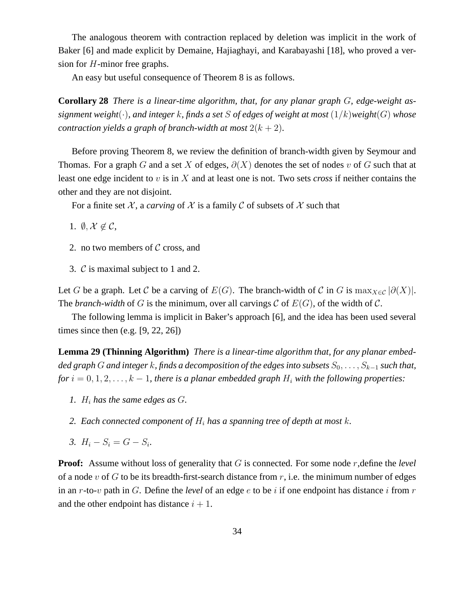The analogous theorem with contraction replaced by deletion was implicit in the work of Baker [6] and made explicit by Demaine, Hajiaghayi, and Karabayashi [18], who proved a version for H-minor free graphs.

An easy but useful consequence of Theorem 8 is as follows.

**Corollary 28** *There is a linear-time algorithm, that, for any planar graph* G*, edge-weight assignment weight* $(\cdot)$ *, and integer k, finds a set* S *of edges of weight at most*  $(1/k)$ *weight* $(G)$  *whose contraction yields a graph of branch-width at most*  $2(k + 2)$ *.* 

Before proving Theorem 8, we review the definition of branch-width given by Seymour and Thomas. For a graph G and a set X of edges,  $\partial(X)$  denotes the set of nodes v of G such that at least one edge incident to v is in X and at least one is not. Two sets *cross* if neither contains the other and they are not disjoint.

For a finite set  $\mathcal X$ , a *carving* of  $\mathcal X$  is a family  $\mathcal C$  of subsets of  $\mathcal X$  such that

1.  $\emptyset, \mathcal{X} \notin \mathcal{C}$ ,

- 2. no two members of  $\mathcal C$  cross, and
- 3. C is maximal subject to 1 and 2.

Let G be a graph. Let C be a carving of  $E(G)$ . The branch-width of C in G is  $\max_{X \in \mathcal{C}} |\partial(X)|$ . The *branch-width* of G is the minimum, over all carvings C of  $E(G)$ , of the width of C.

The following lemma is implicit in Baker's approach [6], and the idea has been used several times since then (e.g. [9, 22, 26])

**Lemma 29 (Thinning Algorithm)** *There is a linear-time algorithm that, for any planar embedded graph* G and integer k, finds a decomposition of the edges into subsets  $S_0, \ldots, S_{k-1}$  *such that, for*  $i = 0, 1, 2, \ldots, k - 1$ , there is a planar embedded graph  $H_i$  with the following properties:

- *1.*  $H_i$  has the same edges as  $G_i$ .
- 2. Each connected component of  $H_i$  has a spanning tree of depth at most k.
- *3.*  $H_i S_i = G S_i$ .

**Proof:** Assume without loss of generality that G is connected. For some node r, define the *level* of a node v of G to be its breadth-first-search distance from  $r$ , i.e. the minimum number of edges in an r-to-v path in G. Define the *level* of an edge  $e$  to be i if one endpoint has distance i from r and the other endpoint has distance  $i + 1$ .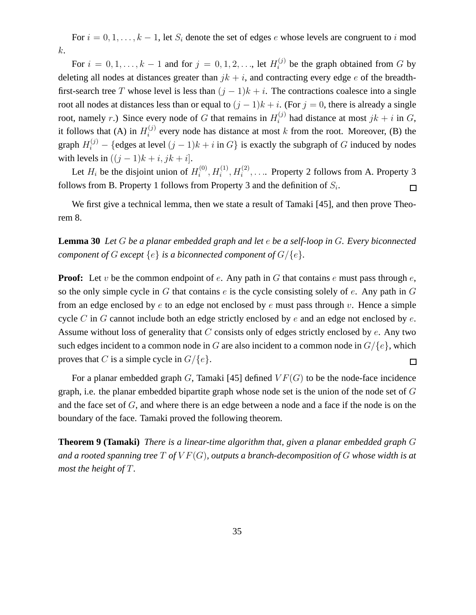For  $i = 0, 1, \ldots, k - 1$ , let  $S_i$  denote the set of edges e whose levels are congruent to i mod k.

For  $i = 0, 1, \ldots, k - 1$  and for  $j = 0, 1, 2, \ldots$ , let  $H_i^{(j)}$  be the graph obtained from G by deleting all nodes at distances greater than  $jk + i$ , and contracting every edge e of the breadthfirst-search tree T whose level is less than  $(j - 1)k + i$ . The contractions coalesce into a single root all nodes at distances less than or equal to  $(j - 1)k + i$ . (For  $j = 0$ , there is already a single root, namely r.) Since every node of G that remains in  $H_i^{(j)}$  had distance at most  $jk + i$  in G, it follows that (A) in  $H_i^{(j)}$  $i^{(j)}$  every node has distance at most k from the root. Moreover, (B) the graph  $H_i^{(j)}$  – {edges at level  $(j-1)k + i$  in  $G$ } is exactly the subgraph of G induced by nodes with levels in  $((j-1)k + i, jk + i]$ .

Let  $H_i$  be the disjoint union of  $H_i^{(0)}$  $i^{(0)}, H_i^{(1)}, H_i^{(2)}, \ldots$  Property 2 follows from A. Property 3 follows from B. Property 1 follows from Property 3 and the definition of  $S_i$ .  $\Box$ 

We first give a technical lemma, then we state a result of Tamaki [45], and then prove Theorem 8.

**Lemma 30** *Let* G *be a planar embedded graph and let* e *be a self-loop in* G*. Every biconnected component of*  $G$  *except*  $\{e\}$  *is a biconnected component of*  $G/\{e\}$ *.* 

**Proof:** Let v be the common endpoint of e. Any path in G that contains e must pass through e, so the only simple cycle in G that contains  $e$  is the cycle consisting solely of  $e$ . Any path in  $G$ from an edge enclosed by e to an edge not enclosed by e must pass through v. Hence a simple cycle  $C$  in  $G$  cannot include both an edge strictly enclosed by  $e$  and an edge not enclosed by  $e$ . Assume without loss of generality that  $C$  consists only of edges strictly enclosed by  $e$ . Any two such edges incident to a common node in G are also incident to a common node in  $G/{e}$ , which proves that C is a simple cycle in  $G/{e}$ . 囗

For a planar embedded graph G, Tamaki [45] defined  $VF(G)$  to be the node-face incidence graph, i.e. the planar embedded bipartite graph whose node set is the union of the node set of G and the face set of G, and where there is an edge between a node and a face if the node is on the boundary of the face. Tamaki proved the following theorem.

**Theorem 9 (Tamaki)** *There is a linear-time algorithm that, given a planar embedded graph* G *and a rooted spanning tree* T *of* V F(G)*, outputs a branch-decomposition of* G *whose width is at most the height of* T*.*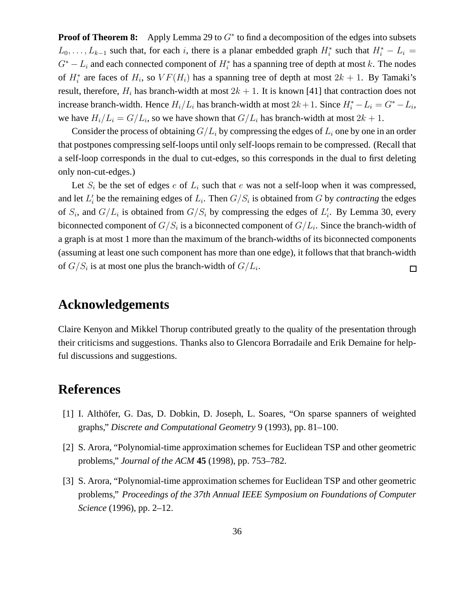**Proof of Theorem 8:** Apply Lemma 29 to G<sup>\*</sup> to find a decomposition of the edges into subsets  $L_0, \ldots, L_{k-1}$  such that, for each i, there is a planar embedded graph  $H_i^*$  such that  $H_i^* - L_i =$  $G^* - L_i$  and each connected component of  $H_i^*$  has a spanning tree of depth at most k. The nodes of  $H_i^*$  are faces of  $H_i$ , so  $VF(H_i)$  has a spanning tree of depth at most  $2k + 1$ . By Tamaki's result, therefore,  $H_i$  has branch-width at most  $2k + 1$ . It is known [41] that contraction does not increase branch-width. Hence  $H_i/L_i$  has branch-width at most  $2k+1$ . Since  $H_i^* - L_i = G^* - L_i$ , we have  $H_i/L_i = G/L_i$ , so we have shown that  $G/L_i$  has branch-width at most  $2k + 1$ .

Consider the process of obtaining  $G/L_i$  by compressing the edges of  $L_i$  one by one in an order that postpones compressing self-loops until only self-loops remain to be compressed. (Recall that a self-loop corresponds in the dual to cut-edges, so this corresponds in the dual to first deleting only non-cut-edges.)

Let  $S_i$  be the set of edges e of  $L_i$  such that e was not a self-loop when it was compressed, and let  $L_i'$  be the remaining edges of  $L_i$ . Then  $G/S_i$  is obtained from G by *contracting* the edges of  $S_i$ , and  $G/L_i$  is obtained from  $G/S_i$  by compressing the edges of  $L'_i$ . By Lemma 30, every biconnected component of  $G/S_i$  is a biconnected component of  $G/L_i$ . Since the branch-width of a graph is at most 1 more than the maximum of the branch-widths of its biconnected components (assuming at least one such component has more than one edge), it follows that that branch-width of  $G/S_i$  is at most one plus the branch-width of  $G/L_i$ .  $\Box$ 

# **Acknowledgements**

Claire Kenyon and Mikkel Thorup contributed greatly to the quality of the presentation through their criticisms and suggestions. Thanks also to Glencora Borradaile and Erik Demaine for helpful discussions and suggestions.

# **References**

- [1] I. Althöfer, G. Das, D. Dobkin, D. Joseph, L. Soares, "On sparse spanners of weighted graphs," *Discrete and Computational Geometry* 9 (1993), pp. 81–100.
- [2] S. Arora, "Polynomial-time approximation schemes for Euclidean TSP and other geometric problems," *Journal of the ACM* **45** (1998), pp. 753–782.
- [3] S. Arora, "Polynomial-time approximation schemes for Euclidean TSP and other geometric problems," *Proceedings of the 37th Annual IEEE Symposium on Foundations of Computer Science* (1996), pp. 2–12.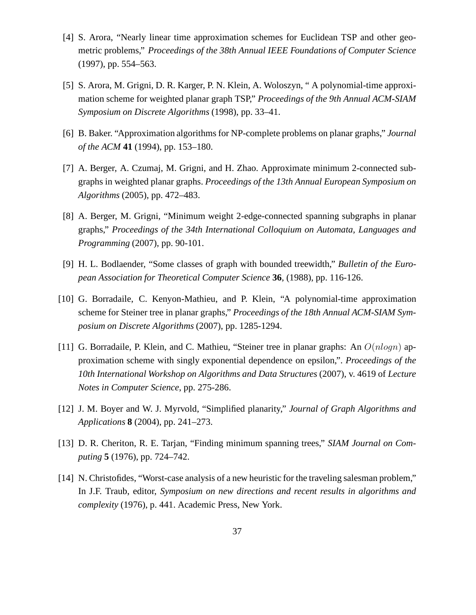- [4] S. Arora, "Nearly linear time approximation schemes for Euclidean TSP and other geometric problems," *Proceedings of the 38th Annual IEEE Foundations of Computer Science* (1997), pp. 554–563.
- [5] S. Arora, M. Grigni, D. R. Karger, P. N. Klein, A. Woloszyn, " A polynomial-time approximation scheme for weighted planar graph TSP," *Proceedings of the 9th Annual ACM-SIAM Symposium on Discrete Algorithms* (1998), pp. 33–41.
- [6] B. Baker. "Approximation algorithms for NP-complete problems on planar graphs," *Journal of the ACM* **41** (1994), pp. 153–180.
- [7] A. Berger, A. Czumaj, M. Grigni, and H. Zhao. Approximate minimum 2-connected subgraphs in weighted planar graphs. *Proceedings of the 13th Annual European Symposium on Algorithms* (2005), pp. 472–483.
- [8] A. Berger, M. Grigni, "Minimum weight 2-edge-connected spanning subgraphs in planar graphs," *Proceedings of the 34th International Colloquium on Automata, Languages and Programming* (2007), pp. 90-101.
- [9] H. L. Bodlaender, "Some classes of graph with bounded treewidth," *Bulletin of the European Association for Theoretical Computer Science* **36**, (1988), pp. 116-126.
- [10] G. Borradaile, C. Kenyon-Mathieu, and P. Klein, "A polynomial-time approximation scheme for Steiner tree in planar graphs," *Proceedings of the 18th Annual ACM-SIAM Symposium on Discrete Algorithms* (2007), pp. 1285-1294.
- [11] G. Borradaile, P. Klein, and C. Mathieu, "Steiner tree in planar graphs: An  $O(n \log n)$  approximation scheme with singly exponential dependence on epsilon,". *Proceedings of the 10th International Workshop on Algorithms and Data Structures* (2007), v. 4619 of *Lecture Notes in Computer Science*, pp. 275-286.
- [12] J. M. Boyer and W. J. Myrvold, "Simplified planarity," *Journal of Graph Algorithms and Applications* **8** (2004), pp. 241–273.
- [13] D. R. Cheriton, R. E. Tarjan, "Finding minimum spanning trees," *SIAM Journal on Computing* **5** (1976), pp. 724–742.
- [14] N. Christofides, "Worst-case analysis of a new heuristic for the traveling salesman problem," In J.F. Traub, editor, *Symposium on new directions and recent results in algorithms and complexity* (1976), p. 441. Academic Press, New York.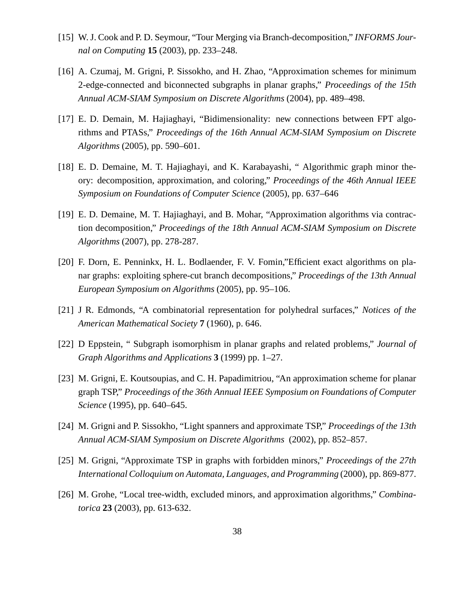- [15] W. J. Cook and P. D. Seymour, "Tour Merging via Branch-decomposition," *INFORMS Journal on Computing* **15** (2003), pp. 233–248.
- [16] A. Czumaj, M. Grigni, P. Sissokho, and H. Zhao, "Approximation schemes for minimum 2-edge-connected and biconnected subgraphs in planar graphs," *Proceedings of the 15th Annual ACM-SIAM Symposium on Discrete Algorithms* (2004), pp. 489–498.
- [17] E. D. Demain, M. Hajiaghayi, "Bidimensionality: new connections between FPT algorithms and PTASs," *Proceedings of the 16th Annual ACM-SIAM Symposium on Discrete Algorithms* (2005), pp. 590–601.
- [18] E. D. Demaine, M. T. Hajiaghayi, and K. Karabayashi, "Algorithmic graph minor theory: decomposition, approximation, and coloring," *Proceedings of the 46th Annual IEEE Symposium on Foundations of Computer Science* (2005), pp. 637–646
- [19] E. D. Demaine, M. T. Hajiaghayi, and B. Mohar, "Approximation algorithms via contraction decomposition," *Proceedings of the 18th Annual ACM-SIAM Symposium on Discrete Algorithms* (2007), pp. 278-287.
- [20] F. Dorn, E. Penninkx, H. L. Bodlaender, F. V. Fomin,"Efficient exact algorithms on planar graphs: exploiting sphere-cut branch decompositions," *Proceedings of the 13th Annual European Symposium on Algorithms* (2005), pp. 95–106.
- [21] J R. Edmonds, "A combinatorial representation for polyhedral surfaces," *Notices of the American Mathematical Society* **7** (1960), p. 646.
- [22] D Eppstein, " Subgraph isomorphism in planar graphs and related problems," *Journal of Graph Algorithms and Applications* **3** (1999) pp. 1–27.
- [23] M. Grigni, E. Koutsoupias, and C. H. Papadimitriou, "An approximation scheme for planar graph TSP," *Proceedings of the 36th Annual IEEE Symposium on Foundations of Computer Science* (1995), pp. 640–645.
- [24] M. Grigni and P. Sissokho, "Light spanners and approximate TSP," *Proceedings of the 13th Annual ACM-SIAM Symposium on Discrete Algorithms* (2002), pp. 852–857.
- [25] M. Grigni, "Approximate TSP in graphs with forbidden minors," *Proceedings of the 27th International Colloquium on Automata, Languages, and Programming* (2000), pp. 869-877.
- [26] M. Grohe, "Local tree-width, excluded minors, and approximation algorithms," *Combinatorica* **23** (2003), pp. 613-632.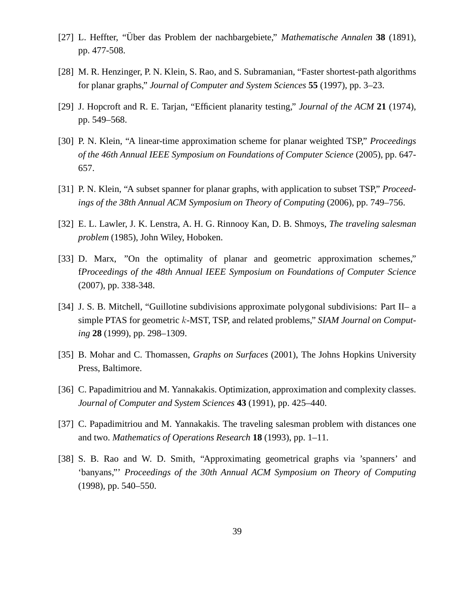- [27] L. Heffter, "Über das Problem der nachbargebiete," *Mathematische Annalen* 38 (1891), pp. 477-508.
- [28] M. R. Henzinger, P. N. Klein, S. Rao, and S. Subramanian, "Faster shortest-path algorithms for planar graphs," *Journal of Computer and System Sciences* **55** (1997), pp. 3–23.
- [29] J. Hopcroft and R. E. Tarjan, "Efficient planarity testing," *Journal of the ACM* **21** (1974), pp. 549–568.
- [30] P. N. Klein, "A linear-time approximation scheme for planar weighted TSP," *Proceedings of the 46th Annual IEEE Symposium on Foundations of Computer Science* (2005), pp. 647- 657.
- [31] P. N. Klein, "A subset spanner for planar graphs, with application to subset TSP," *Proceedings of the 38th Annual ACM Symposium on Theory of Computing* (2006), pp. 749–756.
- [32] E. L. Lawler, J. K. Lenstra, A. H. G. Rinnooy Kan, D. B. Shmoys, *The traveling salesman problem* (1985), John Wiley, Hoboken.
- [33] D. Marx, "On the optimality of planar and geometric approximation schemes," f*Proceedings of the 48th Annual IEEE Symposium on Foundations of Computer Science* (2007), pp. 338-348.
- [34] J. S. B. Mitchell, "Guillotine subdivisions approximate polygonal subdivisions: Part II– a simple PTAS for geometric k-MST, TSP, and related problems," *SIAM Journal on Computing* **28** (1999), pp. 298–1309.
- [35] B. Mohar and C. Thomassen, *Graphs on Surfaces* (2001), The Johns Hopkins University Press, Baltimore.
- [36] C. Papadimitriou and M. Yannakakis. Optimization, approximation and complexity classes. *Journal of Computer and System Sciences* **43** (1991), pp. 425–440.
- [37] C. Papadimitriou and M. Yannakakis. The traveling salesman problem with distances one and two. *Mathematics of Operations Research* **18** (1993), pp. 1–11.
- [38] S. B. Rao and W. D. Smith, "Approximating geometrical graphs via 'spanners' and 'banyans,"' *Proceedings of the 30th Annual ACM Symposium on Theory of Computing* (1998), pp. 540–550.